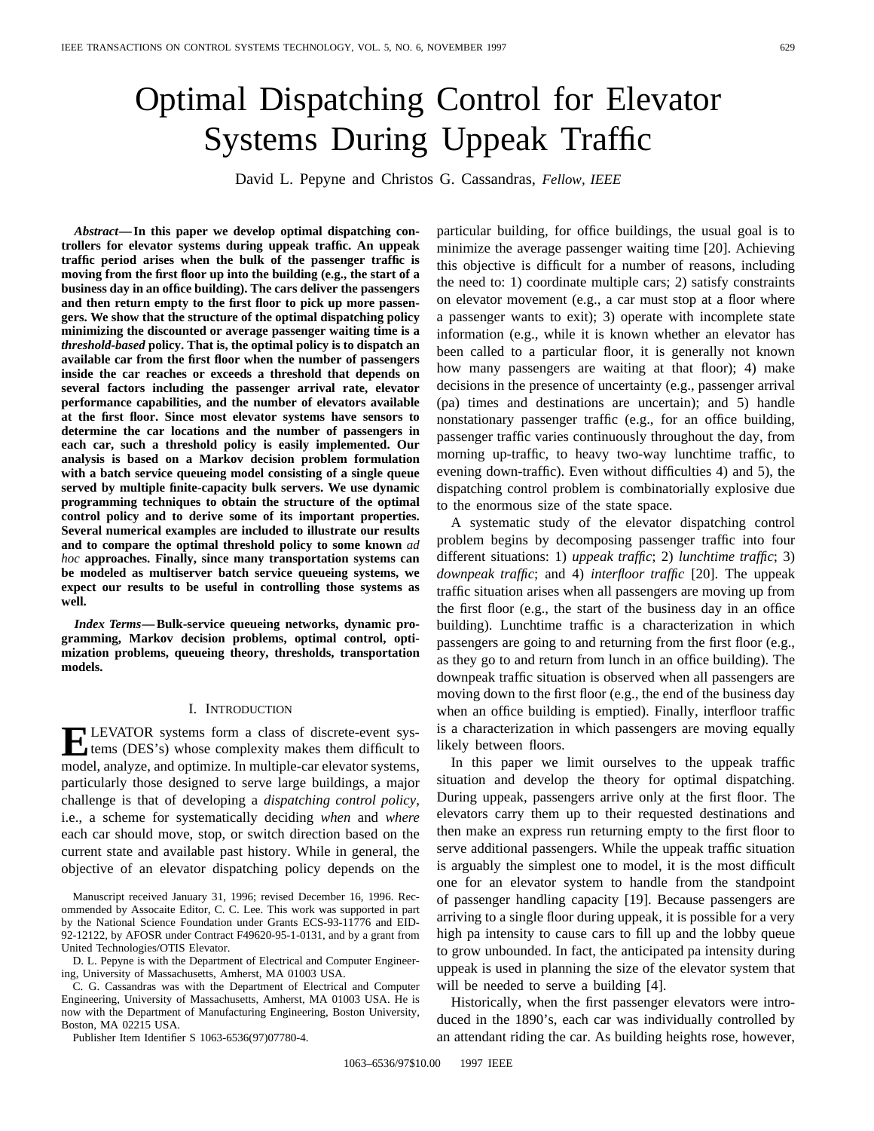# Optimal Dispatching Control for Elevator Systems During Uppeak Traffic

David L. Pepyne and Christos G. Cassandras, *Fellow, IEEE*

*Abstract—***In this paper we develop optimal dispatching controllers for elevator systems during uppeak traffic. An uppeak traffic period arises when the bulk of the passenger traffic is moving from the first floor up into the building (e.g., the start of a business day in an office building). The cars deliver the passengers and then return empty to the first floor to pick up more passengers. We show that the structure of the optimal dispatching policy minimizing the discounted or average passenger waiting time is a** *threshold-based* **policy. That is, the optimal policy is to dispatch an available car from the first floor when the number of passengers inside the car reaches or exceeds a threshold that depends on several factors including the passenger arrival rate, elevator performance capabilities, and the number of elevators available at the first floor. Since most elevator systems have sensors to determine the car locations and the number of passengers in each car, such a threshold policy is easily implemented. Our analysis is based on a Markov decision problem formulation with a batch service queueing model consisting of a single queue served by multiple finite-capacity bulk servers. We use dynamic programming techniques to obtain the structure of the optimal control policy and to derive some of its important properties. Several numerical examples are included to illustrate our results and to compare the optimal threshold policy to some known** *ad hoc* **approaches. Finally, since many transportation systems can be modeled as multiserver batch service queueing systems, we expect our results to be useful in controlling those systems as well.**

*Index Terms—***Bulk-service queueing networks, dynamic programming, Markov decision problems, optimal control, optimization problems, queueing theory, thresholds, transportation models.**

#### I. INTRODUCTION

**ELEVATOR** systems form a class of discrete-event sys-<br>tems (DES's) whose complexity makes them difficult to<br>model englying and optimize In multiple are elected extense model, analyze, and optimize. In multiple-car elevator systems, particularly those designed to serve large buildings, a major challenge is that of developing a *dispatching control policy*, i.e., a scheme for systematically deciding *when* and *where* each car should move, stop, or switch direction based on the current state and available past history. While in general, the objective of an elevator dispatching policy depends on the

Manuscript received January 31, 1996; revised December 16, 1996. Recommended by Assocaite Editor, C. C. Lee. This work was supported in part by the National Science Foundation under Grants ECS-93-11776 and EID-92-12122, by AFOSR under Contract F49620-95-1-0131, and by a grant from United Technologies/OTIS Elevator.

D. L. Pepyne is with the Department of Electrical and Computer Engineering, University of Massachusetts, Amherst, MA 01003 USA.

C. G. Cassandras was with the Department of Electrical and Computer Engineering, University of Massachusetts, Amherst, MA 01003 USA. He is now with the Department of Manufacturing Engineering, Boston University, Boston, MA 02215 USA.

Publisher Item Identifier S 1063-6536(97)07780-4.

particular building, for office buildings, the usual goal is to minimize the average passenger waiting time [20]. Achieving this objective is difficult for a number of reasons, including the need to: 1) coordinate multiple cars; 2) satisfy constraints on elevator movement (e.g., a car must stop at a floor where a passenger wants to exit); 3) operate with incomplete state information (e.g., while it is known whether an elevator has been called to a particular floor, it is generally not known how many passengers are waiting at that floor); 4) make decisions in the presence of uncertainty (e.g., passenger arrival (pa) times and destinations are uncertain); and 5) handle nonstationary passenger traffic (e.g., for an office building, passenger traffic varies continuously throughout the day, from morning up-traffic, to heavy two-way lunchtime traffic, to evening down-traffic). Even without difficulties 4) and 5), the dispatching control problem is combinatorially explosive due to the enormous size of the state space.

A systematic study of the elevator dispatching control problem begins by decomposing passenger traffic into four different situations: 1) *uppeak traffic*; 2) *lunchtime traffic*; 3) *downpeak traffic*; and 4) *interfloor traffic* [20]. The uppeak traffic situation arises when all passengers are moving up from the first floor (e.g., the start of the business day in an office building). Lunchtime traffic is a characterization in which passengers are going to and returning from the first floor (e.g., as they go to and return from lunch in an office building). The downpeak traffic situation is observed when all passengers are moving down to the first floor (e.g., the end of the business day when an office building is emptied). Finally, interfloor traffic is a characterization in which passengers are moving equally likely between floors.

In this paper we limit ourselves to the uppeak traffic situation and develop the theory for optimal dispatching. During uppeak, passengers arrive only at the first floor. The elevators carry them up to their requested destinations and then make an express run returning empty to the first floor to serve additional passengers. While the uppeak traffic situation is arguably the simplest one to model, it is the most difficult one for an elevator system to handle from the standpoint of passenger handling capacity [19]. Because passengers are arriving to a single floor during uppeak, it is possible for a very high pa intensity to cause cars to fill up and the lobby queue to grow unbounded. In fact, the anticipated pa intensity during uppeak is used in planning the size of the elevator system that will be needed to serve a building [4].

Historically, when the first passenger elevators were introduced in the 1890's, each car was individually controlled by an attendant riding the car. As building heights rose, however,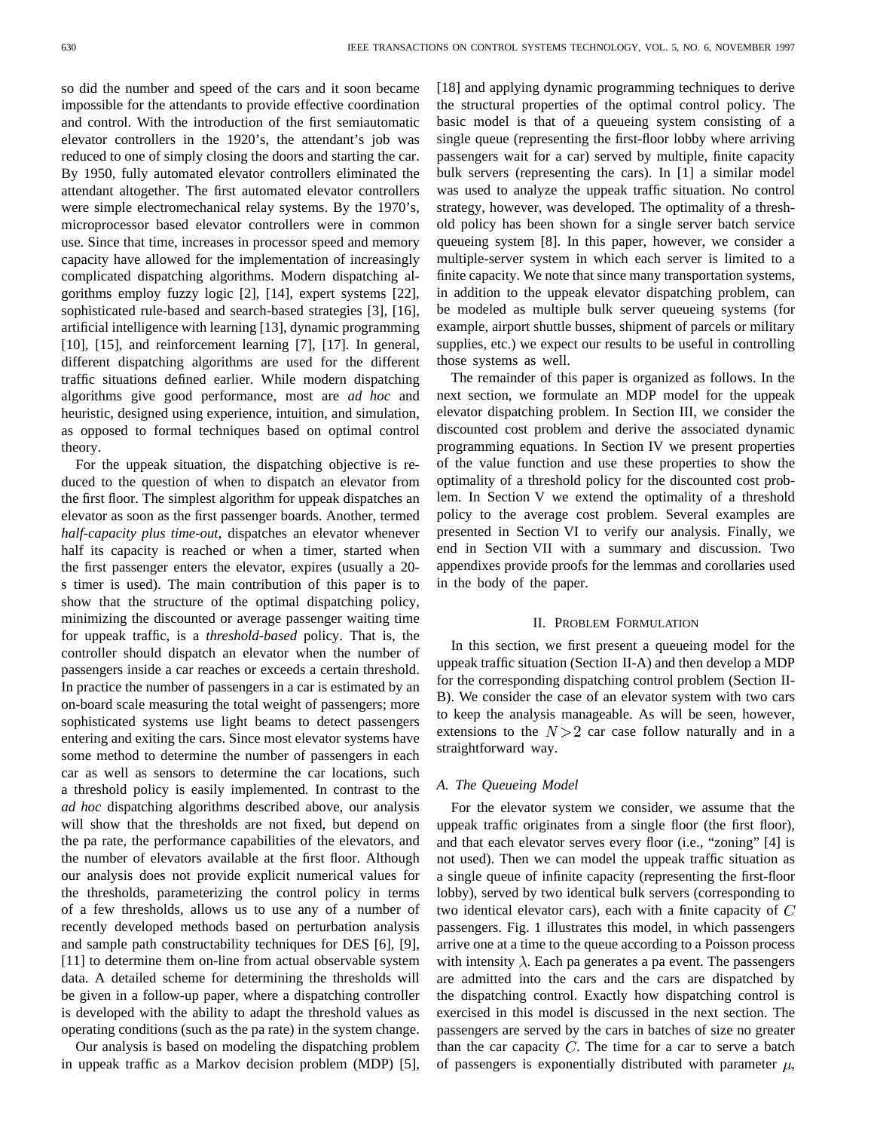so did the number and speed of the cars and it soon became impossible for the attendants to provide effective coordination and control. With the introduction of the first semiautomatic elevator controllers in the 1920's, the attendant's job was reduced to one of simply closing the doors and starting the car. By 1950, fully automated elevator controllers eliminated the attendant altogether. The first automated elevator controllers were simple electromechanical relay systems. By the 1970's, microprocessor based elevator controllers were in common use. Since that time, increases in processor speed and memory capacity have allowed for the implementation of increasingly complicated dispatching algorithms. Modern dispatching algorithms employ fuzzy logic [2], [14], expert systems [22], sophisticated rule-based and search-based strategies [3], [16], artificial intelligence with learning [13], dynamic programming [10], [15], and reinforcement learning [7], [17]. In general, different dispatching algorithms are used for the different traffic situations defined earlier. While modern dispatching algorithms give good performance, most are *ad hoc* and heuristic, designed using experience, intuition, and simulation, as opposed to formal techniques based on optimal control theory.

For the uppeak situation, the dispatching objective is reduced to the question of when to dispatch an elevator from the first floor. The simplest algorithm for uppeak dispatches an elevator as soon as the first passenger boards. Another, termed *half-capacity plus time-out*, dispatches an elevator whenever half its capacity is reached or when a timer, started when the first passenger enters the elevator, expires (usually a 20 s timer is used). The main contribution of this paper is to show that the structure of the optimal dispatching policy, minimizing the discounted or average passenger waiting time for uppeak traffic, is a *threshold-based* policy. That is, the controller should dispatch an elevator when the number of passengers inside a car reaches or exceeds a certain threshold. In practice the number of passengers in a car is estimated by an on-board scale measuring the total weight of passengers; more sophisticated systems use light beams to detect passengers entering and exiting the cars. Since most elevator systems have some method to determine the number of passengers in each car as well as sensors to determine the car locations, such a threshold policy is easily implemented. In contrast to the *ad hoc* dispatching algorithms described above, our analysis will show that the thresholds are not fixed, but depend on the pa rate, the performance capabilities of the elevators, and the number of elevators available at the first floor. Although our analysis does not provide explicit numerical values for the thresholds, parameterizing the control policy in terms of a few thresholds, allows us to use any of a number of recently developed methods based on perturbation analysis and sample path constructability techniques for DES [6], [9], [11] to determine them on-line from actual observable system data. A detailed scheme for determining the thresholds will be given in a follow-up paper, where a dispatching controller is developed with the ability to adapt the threshold values as operating conditions (such as the pa rate) in the system change.

Our analysis is based on modeling the dispatching problem in uppeak traffic as a Markov decision problem (MDP) [5], [18] and applying dynamic programming techniques to derive the structural properties of the optimal control policy. The basic model is that of a queueing system consisting of a single queue (representing the first-floor lobby where arriving passengers wait for a car) served by multiple, finite capacity bulk servers (representing the cars). In [1] a similar model was used to analyze the uppeak traffic situation. No control strategy, however, was developed. The optimality of a threshold policy has been shown for a single server batch service queueing system [8]. In this paper, however, we consider a multiple-server system in which each server is limited to a finite capacity. We note that since many transportation systems, in addition to the uppeak elevator dispatching problem, can be modeled as multiple bulk server queueing systems (for example, airport shuttle busses, shipment of parcels or military supplies, etc.) we expect our results to be useful in controlling those systems as well.

The remainder of this paper is organized as follows. In the next section, we formulate an MDP model for the uppeak elevator dispatching problem. In Section III, we consider the discounted cost problem and derive the associated dynamic programming equations. In Section IV we present properties of the value function and use these properties to show the optimality of a threshold policy for the discounted cost problem. In Section V we extend the optimality of a threshold policy to the average cost problem. Several examples are presented in Section VI to verify our analysis. Finally, we end in Section VII with a summary and discussion. Two appendixes provide proofs for the lemmas and corollaries used in the body of the paper.

#### II. PROBLEM FORMULATION

In this section, we first present a queueing model for the uppeak traffic situation (Section II-A) and then develop a MDP for the corresponding dispatching control problem (Section II-B). We consider the case of an elevator system with two cars to keep the analysis manageable. As will be seen, however, extensions to the  $N>2$  car case follow naturally and in a straightforward way.

### *A. The Queueing Model*

For the elevator system we consider, we assume that the uppeak traffic originates from a single floor (the first floor), and that each elevator serves every floor (i.e., "zoning" [4] is not used). Then we can model the uppeak traffic situation as a single queue of infinite capacity (representing the first-floor lobby), served by two identical bulk servers (corresponding to two identical elevator cars), each with a finite capacity of  $C$ passengers. Fig. 1 illustrates this model, in which passengers arrive one at a time to the queue according to a Poisson process with intensity  $\lambda$ . Each pa generates a pa event. The passengers are admitted into the cars and the cars are dispatched by the dispatching control. Exactly how dispatching control is exercised in this model is discussed in the next section. The passengers are served by the cars in batches of size no greater than the car capacity  $C$ . The time for a car to serve a batch of passengers is exponentially distributed with parameter  $\mu$ ,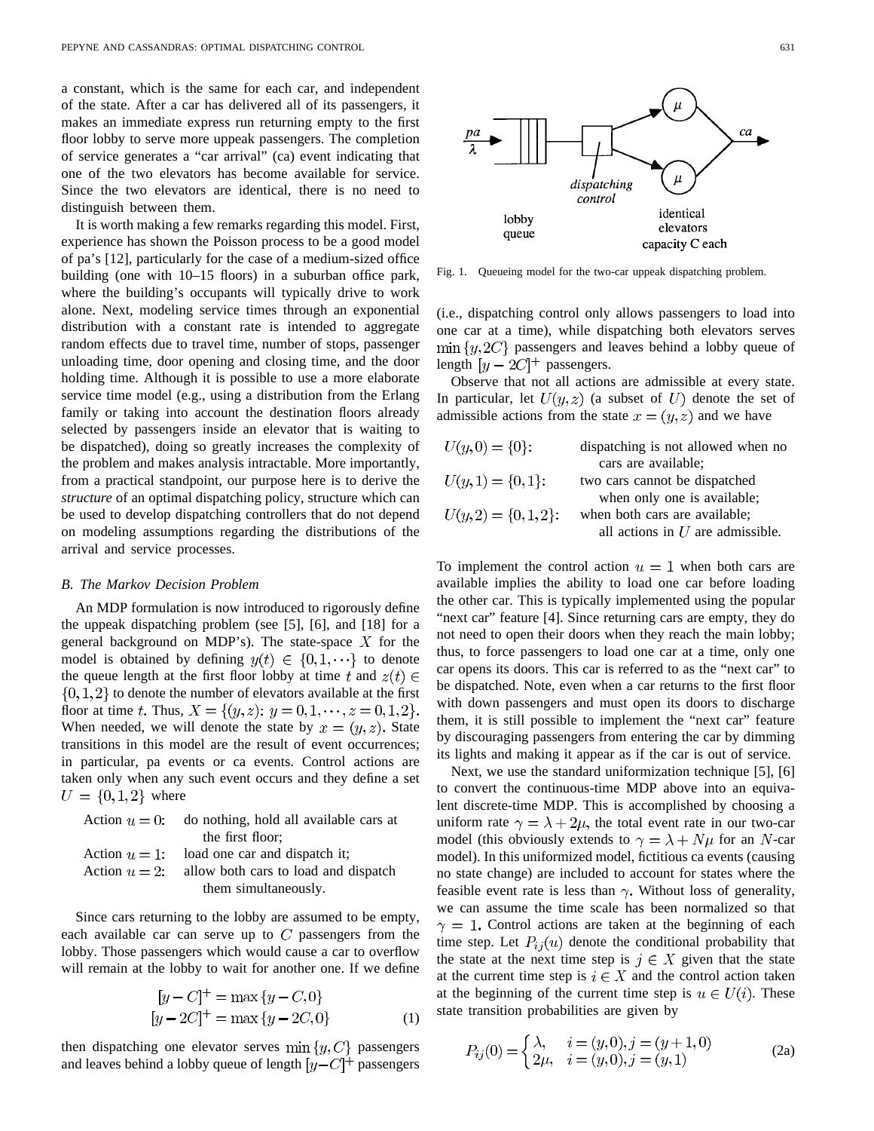a constant, which is the same for each car, and independent of the state. After a car has delivered all of its passengers, it makes an immediate express run returning empty to the first floor lobby to serve more uppeak passengers. The completion of service generates a "car arrival" (ca) event indicating that one of the two elevators has become available for service. Since the two elevators are identical, there is no need to distinguish between them.

It is worth making a few remarks regarding this model. First, experience has shown the Poisson process to be a good model of pa's [12], particularly for the case of a medium-sized office building (one with 10–15 floors) in a suburban office park, where the building's occupants will typically drive to work alone. Next, modeling service times through an exponential distribution with a constant rate is intended to aggregate random effects due to travel time, number of stops, passenger unloading time, door opening and closing time, and the door holding time. Although it is possible to use a more elaborate service time model (e.g., using a distribution from the Erlang family or taking into account the destination floors already selected by passengers inside an elevator that is waiting to be dispatched), doing so greatly increases the complexity of the problem and makes analysis intractable. More importantly, from a practical standpoint, our purpose here is to derive the *structure* of an optimal dispatching policy, structure which can be used to develop dispatching controllers that do not depend on modeling assumptions regarding the distributions of the arrival and service processes.

#### *B. The Markov Decision Problem*

An MDP formulation is now introduced to rigorously define the uppeak dispatching problem (see [5], [6], and [18] for a general background on MDP's). The state-space  $X$  for the model is obtained by defining  $y(t) \in \{0, 1, \dots\}$  to denote the queue length at the first floor lobby at time t and  $z(t) \in$  $\{0,1,2\}$  to denote the number of elevators available at the first floor at time t. Thus,  $X = \{(y, z): y = 0, 1, \dots, z = 0, 1, 2\}.$ When needed, we will denote the state by  $x = (y, z)$ . State transitions in this model are the result of event occurrences; in particular, pa events or ca events. Control actions are taken only when any such event occurs and they define a set  $U = \{0, 1, 2\}$  where

Action  $u = 0$ : do nothing, hold all available cars at the first floor; Action  $u = 1$ : load one car and dispatch it; Action  $u = 2$ : allow both cars to load and dispatch them simultaneously.

Since cars returning to the lobby are assumed to be empty, each available car can serve up to  $C$  passengers from the lobby. Those passengers which would cause a car to overflow will remain at the lobby to wait for another one. If we define

$$
[y - C]^{+} = \max \{y - C, 0\}
$$
  

$$
[y - 2C]^{+} = \max \{y - 2C, 0\}
$$
 (1)

then dispatching one elevator serves  $\min\{y, C\}$  passengers and leaves behind a lobby queue of length  $[y - C]^+$  passengers



Fig. 1. Queueing model for the two-car uppeak dispatching problem.

(i.e., dispatching control only allows passengers to load into one car at a time), while dispatching both elevators serves  $\min\{y, 2C\}$  passengers and leaves behind a lobby queue of length  $[y - 2C]^+$  passengers.

Observe that not all actions are admissible at every state. In particular, let  $U(y, z)$  (a subset of U) denote the set of admissible actions from the state  $x = (y, z)$  and we have

| $U(y, 0) = \{0\}$ :    | dispatching is not allowed when no |
|------------------------|------------------------------------|
|                        | cars are available;                |
| $U(y,1) = \{0,1\}$ :   | two cars cannot be dispatched      |
|                        | when only one is available;        |
| $U(y,2) = \{0,1,2\}$ : | when both cars are available;      |
|                        | all actions in $U$ are admissible. |

To implement the control action  $u=1$  when both cars are available implies the ability to load one car before loading the other car. This is typically implemented using the popular "next car" feature [4]. Since returning cars are empty, they do not need to open their doors when they reach the main lobby; thus, to force passengers to load one car at a time, only one car opens its doors. This car is referred to as the "next car" to be dispatched. Note, even when a car returns to the first floor with down passengers and must open its doors to discharge them, it is still possible to implement the "next car" feature by discouraging passengers from entering the car by dimming its lights and making it appear as if the car is out of service.

Next, we use the standard uniformization technique [5], [6] to convert the continuous-time MDP above into an equivalent discrete-time MDP. This is accomplished by choosing a uniform rate  $\gamma = \lambda + 2\mu$ , the total event rate in our two-car model (this obviously extends to  $\gamma = \lambda + N\mu$  for an N-car model). In this uniformized model, fictitious ca events (causing no state change) are included to account for states where the feasible event rate is less than  $\gamma$ . Without loss of generality, we can assume the time scale has been normalized so that  $\gamma = 1$ . Control actions are taken at the beginning of each time step. Let  $P_{ij}(u)$  denote the conditional probability that the state at the next time step is  $j \in X$  given that the state at the current time step is  $i \in X$  and the control action taken at the beginning of the current time step is  $u \in U(i)$ . These state transition probabilities are given by

$$
P_{ij}(0) = \begin{cases} \lambda, & i = (y, 0), j = (y + 1, 0) \\ 2\mu, & i = (y, 0), j = (y, 1) \end{cases}
$$
 (2a)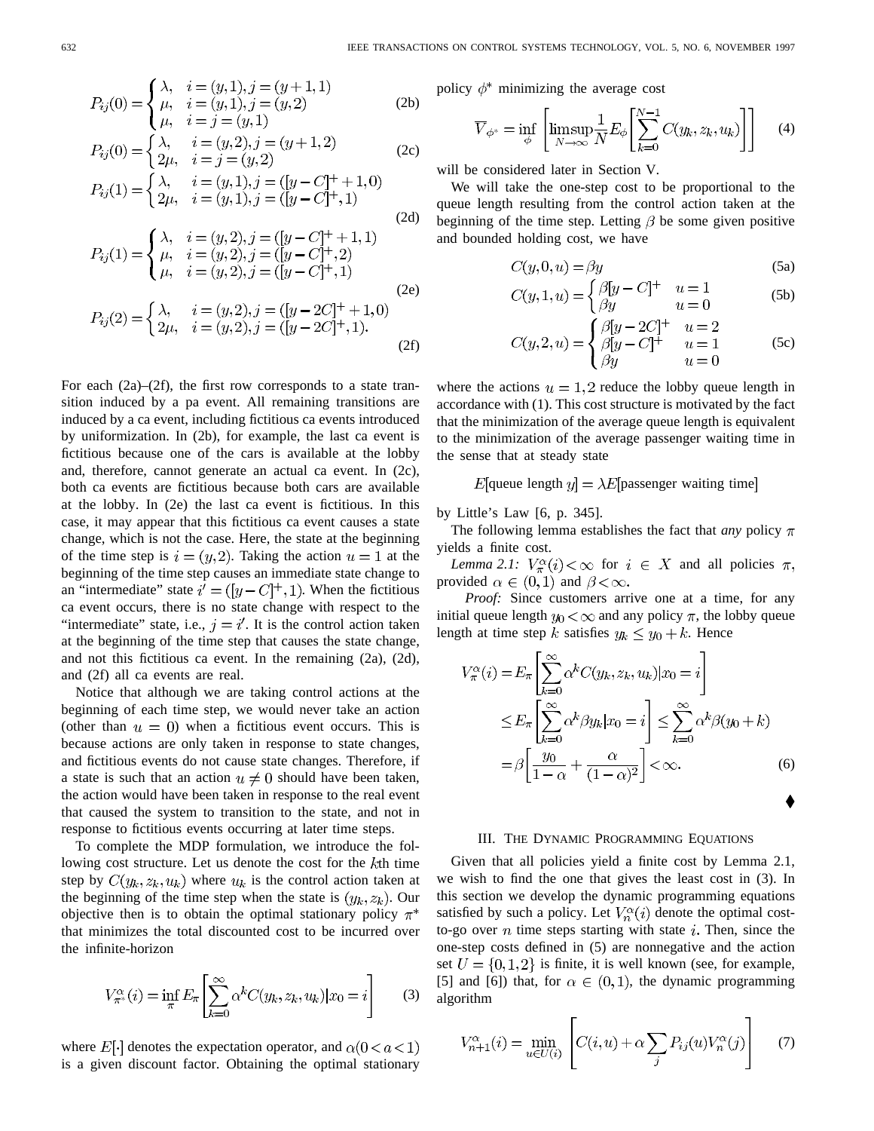$$
P_{ij}(0) = \begin{cases} \lambda, & i = (y, 1), j = (y + 1, 1) \\ \mu, & i = (y, 1), j = (y, 2) \\ \mu, & i = j = (y, 1) \end{cases}
$$
 (2b)

$$
P_{ij}(0) = \begin{cases} \lambda, & i = (y, 2), j = (y + 1, 2) \\ 2\mu, & i = j = (y, 2) \end{cases}
$$
 (2c)

$$
P_{ij}(1) = \begin{cases} \lambda, & i = (y, 1), j = ([y - C]^+ + 1, 0) \\ 2\mu, & i = (y, 1), j = ([y - C]^+, 1) \end{cases}
$$
(2d)

$$
P_{ij}(1) = \begin{cases} \lambda, & i = (y, 2), j = ([y - C]^+ + 1, 1) \\ \mu, & i = (y, 2), j = ([y - C]^+, 2) \\ \mu, & i = (y, 2), j = ([y - C]^+, 1) \end{cases} \tag{2e}
$$
\n
$$
P_{ij}(2) = \begin{cases} \lambda, & i = (y, 2), j = ([y - 2C]^+ + 1, 0) \\ 2\mu, & i = (y, 2), j = ([y - 2C]^+, 1). \end{cases} \tag{2f}
$$

For each (2a)–(2f), the first row corresponds to a state transition induced by a pa event. All remaining transitions are induced by a ca event, including fictitious ca events introduced by uniformization. In (2b), for example, the last ca event is fictitious because one of the cars is available at the lobby and, therefore, cannot generate an actual ca event. In (2c), both ca events are fictitious because both cars are available at the lobby. In (2e) the last ca event is fictitious. In this case, it may appear that this fictitious ca event causes a state change, which is not the case. Here, the state at the beginning of the time step is  $i = (y, 2)$ . Taking the action  $u = 1$  at the beginning of the time step causes an immediate state change to an "intermediate" state  $i' = (y - C)^{+}, 1$ ). When the fictitious ca event occurs, there is no state change with respect to the "intermediate" state, i.e.,  $j = i'$ . It is the control action taken at the beginning of the time step that causes the state change, and not this fictitious ca event. In the remaining (2a), (2d), and (2f) all ca events are real.

Notice that although we are taking control actions at the beginning of each time step, we would never take an action (other than  $u = 0$ ) when a fictitious event occurs. This is because actions are only taken in response to state changes, and fictitious events do not cause state changes. Therefore, if a state is such that an action  $u \neq 0$  should have been taken, the action would have been taken in response to the real event that caused the system to transition to the state, and not in response to fictitious events occurring at later time steps.

To complete the MDP formulation, we introduce the following cost structure. Let us denote the cost for the  $k$ th time step by  $C(y_k, z_k, u_k)$  where  $u_k$  is the control action taken at the beginning of the time step when the state is  $(y_k, z_k)$ . Our objective then is to obtain the optimal stationary policy  $\pi^*$ that minimizes the total discounted cost to be incurred over the infinite-horizon

$$
V_{\pi^*}^{\alpha}(i) = \inf_{\pi} E_{\pi} \left[ \sum_{k=0}^{\infty} \alpha^k C(y_k, z_k, u_k) | x_0 = i \right]
$$
 (3)

where  $E[\cdot]$  denotes the expectation operator, and  $\alpha(0 < a < 1)$ is a given discount factor. Obtaining the optimal stationary policy  $\phi^*$  minimizing the average cost

$$
\overline{V}_{\phi^*} = \inf_{\phi} \left[ \limsup_{N \to \infty} \frac{1}{N} E_{\phi} \left[ \sum_{k=0}^{N-1} C(y_k, z_k, u_k) \right] \right]
$$
(4)

will be considered later in Section V.

We will take the one-step cost to be proportional to the queue length resulting from the control action taken at the beginning of the time step. Letting  $\beta$  be some given positive and bounded holding cost, we have

$$
C(y,0,u) = \beta y \tag{5a}
$$

$$
C(y, 1, u) = \begin{cases} \beta[y - C]^+ & u = 1 \\ \beta y & u = 0 \end{cases}
$$
 (5b)

$$
C(y, 2, u) = \begin{cases} \beta[y - 2C]^+ & u = 2\\ \beta[y - C]^+ & u = 1\\ \beta y & u = 0 \end{cases}
$$
 (5c)

where the actions  $u = 1, 2$  reduce the lobby queue length in accordance with (1). This cost structure is motivated by the fact that the minimization of the average queue length is equivalent to the minimization of the average passenger waiting time in the sense that at steady state

$$
E[queue length y] = \lambda E[ passenger waiting time]
$$

by Little's Law [6, p. 345].

The following lemma establishes the fact that *any* policy  $\pi$ yields a finite cost.

*Lemma 2.1:*  $V_{\pi}^{\alpha}(i) < \infty$  for  $i \in X$  and all policies  $\pi$ , provided  $\alpha \in (0,1)$  and  $\beta < \infty$ .

*Proof:* Since customers arrive one at a time, for any initial queue length  $y_0 < \infty$  and any policy  $\pi$ , the lobby queue length at time step k satisfies  $y_k \leq y_0 + k$ . Hence

$$
V_{\pi}^{\alpha}(i) = E_{\pi} \left[ \sum_{k=0}^{\infty} \alpha^{k} C(y_{k}, z_{k}, u_{k}) | x_{0} = i \right]
$$
  
\n
$$
\leq E_{\pi} \left[ \sum_{k=0}^{\infty} \alpha^{k} \beta y_{k} | x_{0} = i \right] \leq \sum_{k=0}^{\infty} \alpha^{k} \beta (y_{0} + k)
$$
  
\n
$$
= \beta \left[ \frac{y_{0}}{1 - \alpha} + \frac{\alpha}{(1 - \alpha)^{2}} \right] < \infty.
$$
 (6)

# III. THE DYNAMIC PROGRAMMING EQUATIONS

Given that all policies yield a finite cost by Lemma 2.1, we wish to find the one that gives the least cost in (3). In this section we develop the dynamic programming equations satisfied by such a policy. Let  $V_n^{\alpha}(i)$  denote the optimal costto-go over n time steps starting with state i. Then, since the one-step costs defined in (5) are nonnegative and the action set  $U = \{0, 1, 2\}$  is finite, it is well known (see, for example, [5] and [6]) that, for  $\alpha \in (0,1)$ , the dynamic programming algorithm

$$
V_{n+1}^{\alpha}(i) = \min_{u \in U(i)} \left[ C(i, u) + \alpha \sum_{j} P_{ij}(u) V_n^{\alpha}(j) \right] \tag{7}
$$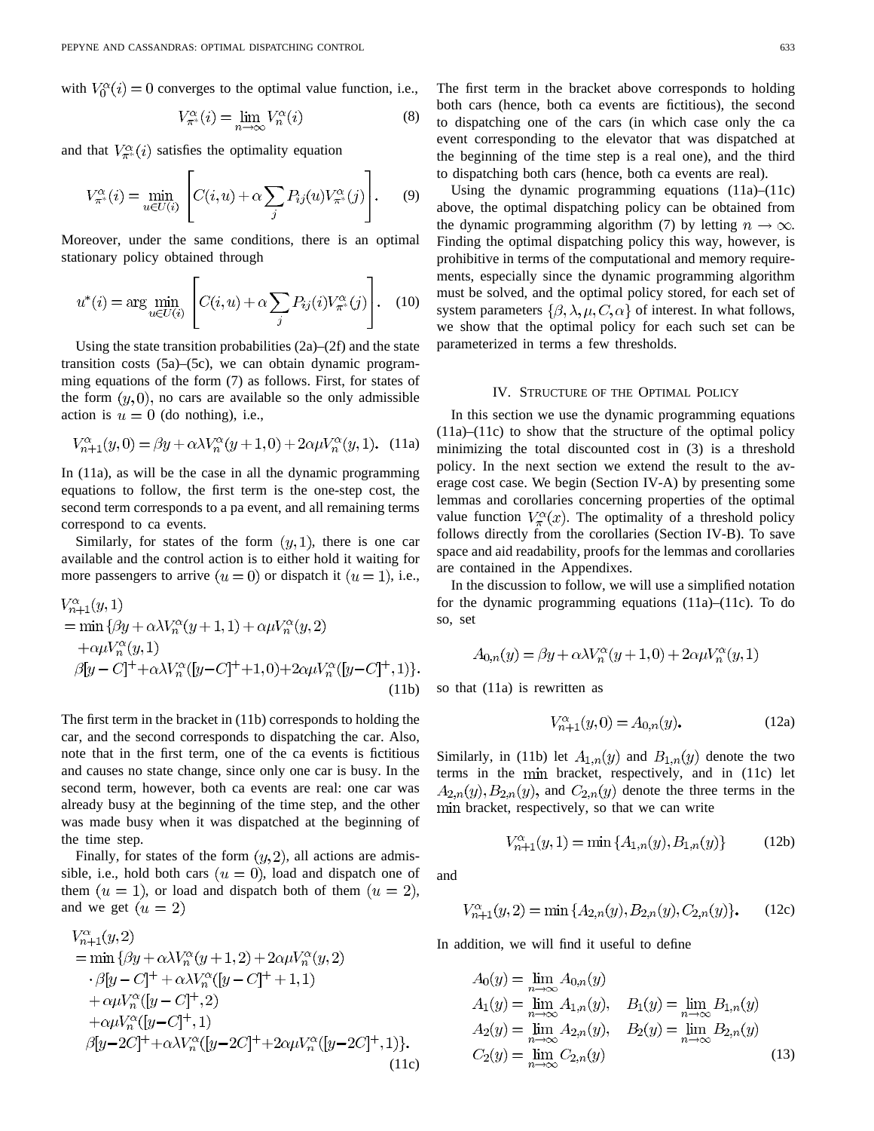with  $V_0^{\alpha}(i) = 0$  converges to the optimal value function, i.e.,

$$
V_{\pi^*}^{\alpha}(i) = \lim_{n \to \infty} V_n^{\alpha}(i)
$$
 (8)

and that  $V^{\alpha}_{\pi^*}(i)$  satisfies the optimality equation

$$
V_{\pi^*}^{\alpha}(i) = \min_{u \in U(i)} \left[ C(i, u) + \alpha \sum_j P_{ij}(u) V_{\pi^*}^{\alpha}(j) \right].
$$
 (9)

Moreover, under the same conditions, there is an optimal stationary policy obtained through

$$
u^*(i) = \arg\min_{u \in U(i)} \left[ C(i, u) + \alpha \sum_j P_{ij}(i) V_{\pi^*}^{\alpha}(j) \right]. \quad (10)
$$

Using the state transition probabilities (2a)–(2f) and the state transition costs (5a)–(5c), we can obtain dynamic programming equations of the form (7) as follows. First, for states of the form  $(y, 0)$ , no cars are available so the only admissible action is  $u = 0$  (do nothing), i.e.,

$$
V_{n+1}^{\alpha}(y,0) = \beta y + \alpha \lambda V_n^{\alpha}(y+1,0) + 2\alpha \mu V_n^{\alpha}(y,1).
$$
 (11a)

In (11a), as will be the case in all the dynamic programming equations to follow, the first term is the one-step cost, the second term corresponds to a pa event, and all remaining terms correspond to ca events.

Similarly, for states of the form  $(y, 1)$ , there is one car available and the control action is to either hold it waiting for more passengers to arrive  $(u = 0)$  or dispatch it  $(u = 1)$ , i.e.,

$$
V_{n+1}^{\alpha}(y,1)
$$
  
= min { $\beta y$  +  $\alpha \lambda V_n^{\alpha}(y+1,1)$  +  $\alpha \mu V_n^{\alpha}(y,2)$   
+ $\alpha \mu V_n^{\alpha}(y,1)$   
 $\beta[y - C]^+ + \alpha \lambda V_n^{\alpha}([y - C]^+ + 1,0) + 2\alpha \mu V_n^{\alpha}([y - C]^+,1)$  }. (11b)

The first term in the bracket in (11b) corresponds to holding the car, and the second corresponds to dispatching the car. Also, note that in the first term, one of the ca events is fictitious and causes no state change, since only one car is busy. In the second term, however, both ca events are real: one car was already busy at the beginning of the time step, and the other was made busy when it was dispatched at the beginning of the time step.

Finally, for states of the form  $(y, 2)$ , all actions are admissible, i.e., hold both cars  $(u = 0)$ , load and dispatch one of them  $(u = 1)$ , or load and dispatch both of them  $(u = 2)$ , and we get  $(u = 2)$ 

$$
V_{n+1}^{\alpha}(y, 2)
$$
  
= min { $\beta y$  +  $\alpha \lambda V_n^{\alpha}(y + 1, 2)$  +  $2\alpha \mu V_n^{\alpha}(y, 2)$   
 $\cdot \beta[y - C]^+ + \alpha \lambda V_n^{\alpha}([y - C]^+ + 1, 1)$   
+  $\alpha \mu V_n^{\alpha}([y - C]^+, 2)$   
+  $\alpha \mu V_n^{\alpha}([y - C]^+, 1)$   
 $\beta[y - 2C]^+ + \alpha \lambda V_n^{\alpha}([y - 2C]^+ + 2\alpha \mu V_n^{\alpha}([y - 2C]^+, 1)).$  (11c)

The first term in the bracket above corresponds to holding both cars (hence, both ca events are fictitious), the second to dispatching one of the cars (in which case only the ca event corresponding to the elevator that was dispatched at the beginning of the time step is a real one), and the third to dispatching both cars (hence, both ca events are real).

Using the dynamic programming equations (11a)–(11c) above, the optimal dispatching policy can be obtained from the dynamic programming algorithm (7) by letting  $n \to \infty$ . Finding the optimal dispatching policy this way, however, is prohibitive in terms of the computational and memory requirements, especially since the dynamic programming algorithm must be solved, and the optimal policy stored, for each set of system parameters  $\{\beta, \lambda, \mu, C, \alpha\}$  of interest. In what follows, we show that the optimal policy for each such set can be parameterized in terms a few thresholds.

#### IV. STRUCTURE OF THE OPTIMAL POLICY

In this section we use the dynamic programming equations (11a)–(11c) to show that the structure of the optimal policy minimizing the total discounted cost in (3) is a threshold policy. In the next section we extend the result to the average cost case. We begin (Section IV-A) by presenting some lemmas and corollaries concerning properties of the optimal value function  $V_{\pi}^{\alpha}(x)$ . The optimality of a threshold policy follows directly from the corollaries (Section IV-B). To save space and aid readability, proofs for the lemmas and corollaries are contained in the Appendixes.

In the discussion to follow, we will use a simplified notation for the dynamic programming equations (11a)–(11c). To do so, set

$$
A_{0,n}(y) = \beta y + \alpha \lambda V_n^{\alpha}(y+1,0) + 2\alpha \mu V_n^{\alpha}(y,1)
$$

so that (11a) is rewritten as

$$
V_{n+1}^{\alpha}(y,0) = A_{0,n}(y). \tag{12a}
$$

Similarly, in (11b) let  $A_{1,n}(y)$  and  $B_{1,n}(y)$  denote the two terms in the min bracket, respectively, and in (11c) let  $A_{2,n}(y), B_{2,n}(y)$ , and  $C_{2,n}(y)$  denote the three terms in the min bracket, respectively, so that we can write

$$
V_{n+1}^{\alpha}(y,1) = \min\{A_{1,n}(y), B_{1,n}(y)\}\tag{12b}
$$

and

$$
V_{n+1}^{\alpha}(y,2) = \min\{A_{2,n}(y), B_{2,n}(y), C_{2,n}(y)\}.
$$
 (12c)

In addition, we will find it useful to define

$$
A_0(y) = \lim_{n \to \infty} A_{0,n}(y)
$$
  
\n
$$
A_1(y) = \lim_{n \to \infty} A_{1,n}(y), \quad B_1(y) = \lim_{n \to \infty} B_{1,n}(y)
$$
  
\n
$$
A_2(y) = \lim_{n \to \infty} A_{2,n}(y), \quad B_2(y) = \lim_{n \to \infty} B_{2,n}(y)
$$
  
\n
$$
C_2(y) = \lim_{n \to \infty} C_{2,n}(y)
$$
\n(13)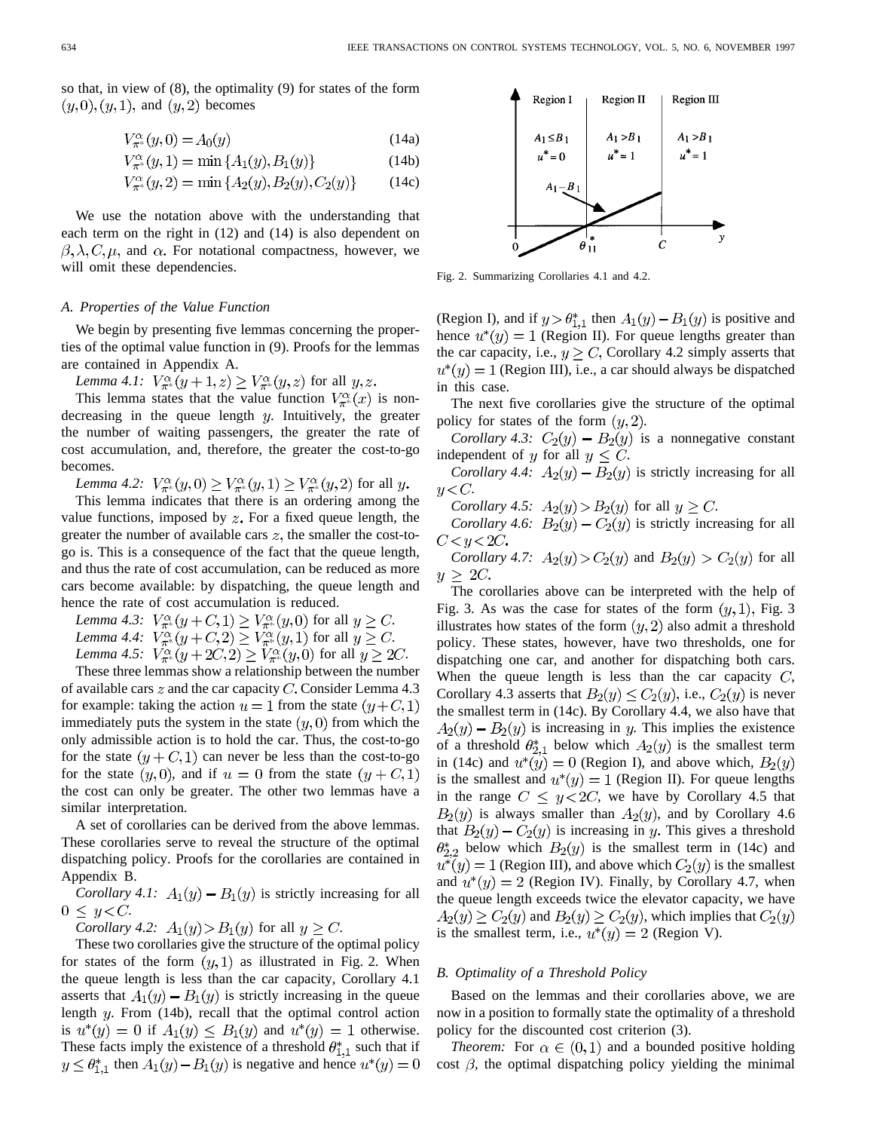so that, in view of (8), the optimality (9) for states of the form  $(y,0),(y,1)$ , and  $(y,2)$  becomes

$$
V_{\pi^*}^{\alpha}(y,0) = A_0(y)
$$
 (14a)

$$
V_{\pi^*}^{\alpha}(y,1) = \min\{A_1(y), B_1(y)\}\tag{14b}
$$

$$
C_{\pi^*}^{\alpha}(y,2) = \min\{A_2(y), B_2(y), C_2(y)\}\tag{14c}
$$

We use the notation above with the understanding that each term on the right in (12) and (14) is also dependent on  $\beta, \lambda, C, \mu$ , and  $\alpha$ . For notational compactness, however, we will omit these dependencies.

#### *A. Properties of the Value Function*

We begin by presenting five lemmas concerning the properties of the optimal value function in (9). Proofs for the lemmas are contained in Appendix A.

*Lemma 4.1:*  $V_{\pi^*}^{\alpha}(y+1,z) \geq V_{\pi^*}^{\alpha}(y,z)$  for all  $y, z$ .

This lemma states that the value function  $V_{\pi}^{\alpha}(x)$  is nondecreasing in the queue length  $y$ . Intuitively, the greater the number of waiting passengers, the greater the rate of cost accumulation, and, therefore, the greater the cost-to-go becomes.

*Lemma 4.2:*  $V_{\pi^*}^{\alpha}(y,0) \geq V_{\pi^*}^{\alpha}(y,1) \geq V_{\pi^*}^{\alpha}(y,2)$  for all y.

This lemma indicates that there is an ordering among the value functions, imposed by  $z$ . For a fixed queue length, the greater the number of available cars  $z$ , the smaller the cost-togo is. This is a consequence of the fact that the queue length, and thus the rate of cost accumulation, can be reduced as more cars become available: by dispatching, the queue length and hence the rate of cost accumulation is reduced.

*Lemma 4.3:*  $V_{\pi^*}^{\alpha}(y+C,1) \geq V_{\pi^*}^{\alpha}(y,0)$  for all  $y \geq C$ . *Lemma 4.4:*  $V_{\pi^*}^{\alpha}(y+C,2) \geq V_{\pi^*}^{\alpha}(y,1)$  for all  $y \geq C$ . *Lemma 4.5:*  $V_{\pi^*}^{\alpha}(y+2C, 2) \ge V_{\pi^*}^{\alpha}(y, 0)$  for all  $y \ge 2C$ .

These three lemmas show a relationship between the number of available cars  $z$  and the car capacity C. Consider Lemma 4.3 for example: taking the action  $u = 1$  from the state  $(y+C,1)$ immediately puts the system in the state  $(y, 0)$  from which the only admissible action is to hold the car. Thus, the cost-to-go for the state  $(y+C,1)$  can never be less than the cost-to-go for the state  $(y, 0)$ , and if  $u = 0$  from the state  $(y + C, 1)$ the cost can only be greater. The other two lemmas have a similar interpretation.

A set of corollaries can be derived from the above lemmas. These corollaries serve to reveal the structure of the optimal dispatching policy. Proofs for the corollaries are contained in Appendix B.

*Corollary 4.1:*  $A_1(y) - B_1(y)$  is strictly increasing for all  $0 \leq y < C$ .

*Corollary 4.2:*  $A_1(y) > B_1(y)$  for all  $y \ge C$ .

These two corollaries give the structure of the optimal policy for states of the form  $(y, 1)$  as illustrated in Fig. 2. When the queue length is less than the car capacity, Corollary 4.1 asserts that  $A_1(y) - B_1(y)$  is strictly increasing in the queue length  $y$ . From (14b), recall that the optimal control action is  $u^*(y) = 0$  if  $A_1(y) \leq B_1(y)$  and  $u^*(y) = 1$  otherwise. These facts imply the existence of a threshold  $\theta_{1,1}^*$  such that if  $y \leq \theta_{1,1}^*$  then  $A_1(y) - B_1(y)$  is negative and hence  $u^*(y) = 0$ 



Fig. 2. Summarizing Corollaries 4.1 and 4.2.

(Region I), and if  $y > \theta_{1,1}^*$  then  $A_1(y) - B_1(y)$  is positive and hence  $u^*(y) = 1$  (Region II). For queue lengths greater than the car capacity, i.e.,  $y \ge C$ , Corollary 4.2 simply asserts that  $u^*(y) = 1$  (Region III), i.e., a car should always be dispatched in this case.

The next five corollaries give the structure of the optimal policy for states of the form  $(y, 2)$ .

*Corollary 4.3:*  $C_2(y) - B_2(y)$  is a nonnegative constant independent of y for all  $y \leq C$ .

*Corollary 4.4:*  $A_2(y) - B_2(y)$  is strictly increasing for all  $u\!<\!C$ .

*Corollary 4.5:*  $A_2(y) > B_2(y)$  for all  $y \ge C$ .

*Corollary 4.6:*  $B_2(y) - C_2(y)$  is strictly increasing for all  $C < y < 2C$ .

*Corollary 4.7:*  $A_2(y) > C_2(y)$  and  $B_2(y) > C_2(y)$  for all  $\overline{u}$  $> 2C$ .

The corollaries above can be interpreted with the help of Fig. 3. As was the case for states of the form  $(y, 1)$ , Fig. 3 illustrates how states of the form  $(y, 2)$  also admit a threshold policy. These states, however, have two thresholds, one for dispatching one car, and another for dispatching both cars. When the queue length is less than the car capacity  $C$ , Corollary 4.3 asserts that  $B_2(y) \le C_2(y)$ , i.e.,  $C_2(y)$  is never the smallest term in (14c). By Corollary 4.4, we also have that  $A_2(y) - B_2(y)$  is increasing in y. This implies the existence of a threshold  $\theta_{2,1}^*$  below which  $A_2(y)$  is the smallest term in (14c) and  $u^*(y) = 0$  (Region I), and above which,  $B_2(y)$ is the smallest and  $u^*(y) = 1$  (Region II). For queue lengths in the range  $C \le y < 2C$ , we have by Corollary 4.5 that  $B_2(y)$  is always smaller than  $A_2(y)$ , and by Corollary 4.6 that  $B_2(y) - C_2(y)$  is increasing in y. This gives a threshold  $\theta_{2,2}^*$  below which  $B_2(y)$  is the smallest term in (14c) and  $u^*(y) = 1$  (Region III), and above which  $C_2(y)$  is the smallest and  $u^*(y) = 2$  (Region IV). Finally, by Corollary 4.7, when the queue length exceeds twice the elevator capacity, we have  $A_2(y) \ge C_2(y)$  and  $B_2(y) \ge C_2(y)$ , which implies that  $C_2(y)$ is the smallest term, i.e.,  $u^*(y) = 2$  (Region V).

# *B. Optimality of a Threshold Policy*

Based on the lemmas and their corollaries above, we are now in a position to formally state the optimality of a threshold policy for the discounted cost criterion (3).

*Theorem:* For  $\alpha \in (0,1)$  and a bounded positive holding cost  $\beta$ , the optimal dispatching policy yielding the minimal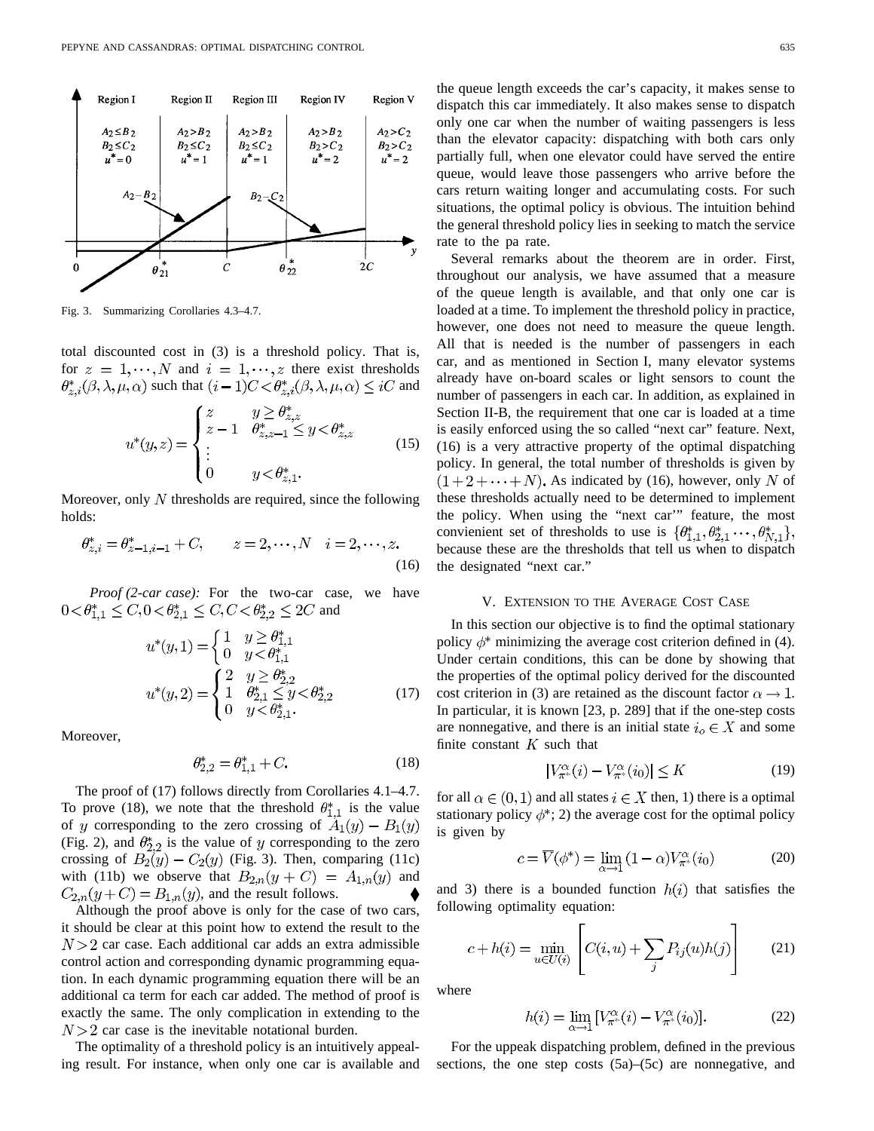

Fig. 3. Summarizing Corollaries 4.3–4.7.

total discounted cost in (3) is a threshold policy. That is, for  $z = 1, \dots, N$  and  $i = 1, \dots, z$  there exist thresholds  $\theta_{z,i}^*(\beta,\lambda,\mu,\alpha)$  such that  $(i-1)C < \theta_{z,i}^*(\beta,\lambda,\mu,\alpha) \leq iC$  and

$$
u^*(y, z) = \begin{cases} z & y \ge \theta_{z, z}^* \\ z - 1 & \theta_{z, z - 1}^* \le y < \theta_{z, z}^* \\ \vdots & \vdots \\ 0 & y < \theta_{z, 1}^* \end{cases}
$$
 (15)

Moreover, only  $N$  thresholds are required, since the following holds:

$$
\theta_{z,i}^* = \theta_{z-1,i-1}^* + C, \qquad z = 2, \cdots, N \quad i = 2, \cdots, z.
$$
\n(16)

*Proof (2-car case):* For the two-car case, we have  $0 < \theta_{1,1}^* \le C, 0 < \theta_{2,1}^* \le C, C < \theta_{2,2}^* \le 2C$  and

$$
u^*(y,1) = \begin{cases} 1 & y \ge \theta_{1,1}^* \\ 0 & y < \theta_{1,1}^* \end{cases}
$$

$$
u^*(y,2) = \begin{cases} 2 & y \ge \theta_{2,2}^* \\ 1 & \theta_{2,1}^* \le y < \theta_{2,2}^* \\ 0 & y < \theta_{2,1}^* \end{cases}
$$
(17)

Moreover,

$$
\theta_{2,2}^* = \theta_{1,1}^* + C. \tag{18}
$$

The proof of (17) follows directly from Corollaries 4.1–4.7. To prove (18), we note that the threshold  $\theta_{1,1}^*$  is the value of y corresponding to the zero crossing of  $A_1(y) - B_1(y)$ (Fig. 2), and  $\theta_{2,2}^*$  is the value of y corresponding to the zero crossing of  $B_2(y) - C_2(y)$  (Fig. 3). Then, comparing (11c) with (11b) we observe that  $B_{2,n}(y+C) = A_{1,n}(y)$  and  $C_{2,n}(y+C) = B_{1,n}(y)$ , and the result follows.

Although the proof above is only for the case of two cars, it should be clear at this point how to extend the result to the  $N > 2$  car case. Each additional car adds an extra admissible control action and corresponding dynamic programming equation. In each dynamic programming equation there will be an additional ca term for each car added. The method of proof is exactly the same. The only complication in extending to the  $N > 2$  car case is the inevitable notational burden.

The optimality of a threshold policy is an intuitively appealing result. For instance, when only one car is available and the queue length exceeds the car's capacity, it makes sense to dispatch this car immediately. It also makes sense to dispatch only one car when the number of waiting passengers is less than the elevator capacity: dispatching with both cars only partially full, when one elevator could have served the entire queue, would leave those passengers who arrive before the cars return waiting longer and accumulating costs. For such situations, the optimal policy is obvious. The intuition behind the general threshold policy lies in seeking to match the service rate to the pa rate.

Several remarks about the theorem are in order. First, throughout our analysis, we have assumed that a measure of the queue length is available, and that only one car is loaded at a time. To implement the threshold policy in practice, however, one does not need to measure the queue length. All that is needed is the number of passengers in each car, and as mentioned in Section I, many elevator systems already have on-board scales or light sensors to count the number of passengers in each car. In addition, as explained in Section II-B, the requirement that one car is loaded at a time is easily enforced using the so called "next car" feature. Next, (16) is a very attractive property of the optimal dispatching policy. In general, the total number of thresholds is given by  $(1+2+\cdots+N)$ . As indicated by (16), however, only N of these thresholds actually need to be determined to implement the policy. When using the "next car'" feature, the most convienient set of thresholds to use is  $\{\theta_{1,1}^*, \theta_{2,1}^*, \dots, \theta_{N,1}^*\},$ because these are the thresholds that tell us when to dispatch the designated "next car."

#### V. EXTENSION TO THE AVERAGE COST CASE

In this section our objective is to find the optimal stationary policy  $\phi^*$  minimizing the average cost criterion defined in (4). Under certain conditions, this can be done by showing that the properties of the optimal policy derived for the discounted cost criterion in (3) are retained as the discount factor  $\alpha \rightarrow 1$ . In particular, it is known [23, p. 289] that if the one-step costs are nonnegative, and there is an initial state  $i_o \in X$  and some finite constant  $K$  such that

$$
|V_{\pi^*}^{\alpha}(i) - V_{\pi^*}^{\alpha}(i_0)| \le K \tag{19}
$$

for all  $\alpha \in (0,1)$  and all states  $i \in X$  then, 1) there is a optimal stationary policy  $\phi^*$ ; 2) the average cost for the optimal policy is given by

$$
c = \overline{V}(\phi^*) = \lim_{\alpha \to 1} (1 - \alpha) V_{\pi^*}^{\alpha}(i_0)
$$
 (20)

and 3) there is a bounded function  $h(i)$  that satisfies the following optimality equation:

$$
c + h(i) = \min_{u \in U(i)} \left[ C(i, u) + \sum_{j} P_{ij}(u)h(j) \right]
$$
 (21)

where

$$
h(i) = \lim_{\alpha \to 1} \left[ V_{\pi^*}^{\alpha}(i) - V_{\pi^*}^{\alpha}(i_0) \right]. \tag{22}
$$

For the uppeak dispatching problem, defined in the previous sections, the one step costs (5a)–(5c) are nonnegative, and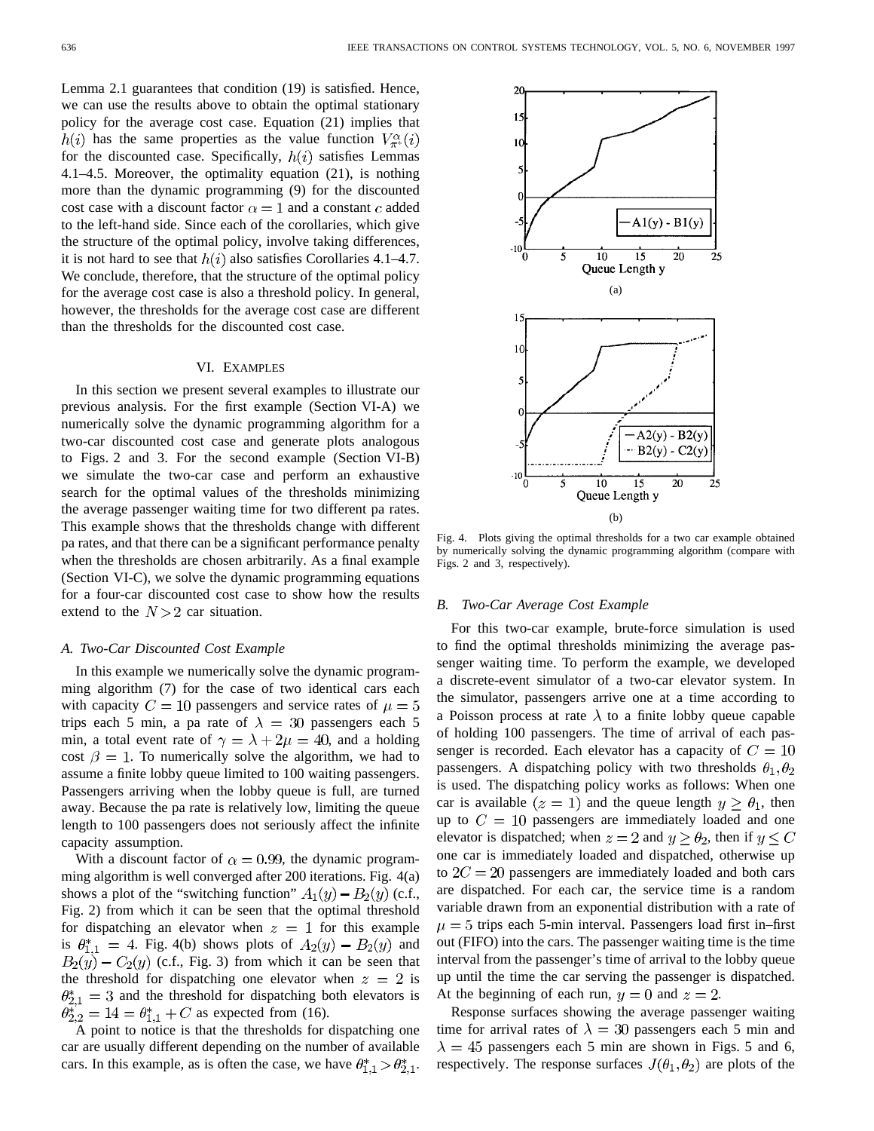Lemma 2.1 guarantees that condition (19) is satisfied. Hence, we can use the results above to obtain the optimal stationary policy for the average cost case. Equation (21) implies that  $h(i)$  has the same properties as the value function  $V_{\pi^*}^{\alpha}(i)$ for the discounted case. Specifically,  $h(i)$  satisfies Lemmas 4.1–4.5. Moreover, the optimality equation (21), is nothing more than the dynamic programming (9) for the discounted cost case with a discount factor  $\alpha = 1$  and a constant c added to the left-hand side. Since each of the corollaries, which give the structure of the optimal policy, involve taking differences, it is not hard to see that  $h(i)$  also satisfies Corollaries 4.1–4.7. We conclude, therefore, that the structure of the optimal policy for the average cost case is also a threshold policy. In general, however, the thresholds for the average cost case are different than the thresholds for the discounted cost case.

#### VI. EXAMPLES

In this section we present several examples to illustrate our previous analysis. For the first example (Section VI-A) we numerically solve the dynamic programming algorithm for a two-car discounted cost case and generate plots analogous to Figs. 2 and 3. For the second example (Section VI-B) we simulate the two-car case and perform an exhaustive search for the optimal values of the thresholds minimizing the average passenger waiting time for two different pa rates. This example shows that the thresholds change with different pa rates, and that there can be a significant performance penalty when the thresholds are chosen arbitrarily. As a final example (Section VI-C), we solve the dynamic programming equations for a four-car discounted cost case to show how the results extend to the  $N > 2$  car situation.

#### *A. Two-Car Discounted Cost Example*

In this example we numerically solve the dynamic programming algorithm (7) for the case of two identical cars each with capacity  $C = 10$  passengers and service rates of  $\mu = 5$ trips each 5 min, a pa rate of  $\lambda = 30$  passengers each 5 min, a total event rate of  $\gamma = \lambda + 2\mu = 40$ , and a holding cost  $\beta = 1$ . To numerically solve the algorithm, we had to assume a finite lobby queue limited to 100 waiting passengers. Passengers arriving when the lobby queue is full, are turned away. Because the pa rate is relatively low, limiting the queue length to 100 passengers does not seriously affect the infinite capacity assumption.

With a discount factor of  $\alpha = 0.99$ , the dynamic programming algorithm is well converged after 200 iterations. Fig. 4(a) shows a plot of the "switching function"  $A_1(y) - B_2(y)$  (c.f., Fig. 2) from which it can be seen that the optimal threshold for dispatching an elevator when  $z = 1$  for this example is  $\theta_{1,1}^* = 4$ . Fig. 4(b) shows plots of  $A_2(y) - B_2(y)$  and  $(B_2(y) - C_2(y)$  (c.f., Fig. 3) from which it can be seen that the threshold for dispatching one elevator when  $z = 2$  is  $\theta_{2,1}^* = 3$  and the threshold for dispatching both elevators is  $\theta_{2,2}^{*^2} = 14 = \theta_{1,1}^* + C$  as expected from (16).

 $\overline{A}$  point to notice is that the thresholds for dispatching one car are usually different depending on the number of available cars. In this example, as is often the case, we have  $\theta_{1,1}^* > \theta_{2,1}^*$ .



Fig. 4. Plots giving the optimal thresholds for a two car example obtained by numerically solving the dynamic programming algorithm (compare with Figs. 2 and 3, respectively).

#### *B. Two-Car Average Cost Example*

For this two-car example, brute-force simulation is used to find the optimal thresholds minimizing the average passenger waiting time. To perform the example, we developed a discrete-event simulator of a two-car elevator system. In the simulator, passengers arrive one at a time according to a Poisson process at rate  $\lambda$  to a finite lobby queue capable of holding 100 passengers. The time of arrival of each passenger is recorded. Each elevator has a capacity of  $C = 10$ passengers. A dispatching policy with two thresholds  $\theta_1, \theta_2$ is used. The dispatching policy works as follows: When one car is available  $(z = 1)$  and the queue length  $y \ge \theta_1$ , then up to  $C = 10$  passengers are immediately loaded and one elevator is dispatched; when  $z = 2$  and  $y \ge \theta_2$ , then if  $y \le C$ one car is immediately loaded and dispatched, otherwise up to  $2C = 20$  passengers are immediately loaded and both cars are dispatched. For each car, the service time is a random variable drawn from an exponential distribution with a rate of  $\mu = 5$  trips each 5-min interval. Passengers load first in–first out (FIFO) into the cars. The passenger waiting time is the time interval from the passenger's time of arrival to the lobby queue up until the time the car serving the passenger is dispatched. At the beginning of each run,  $y = 0$  and  $z = 2$ .

Response surfaces showing the average passenger waiting time for arrival rates of  $\lambda = 30$  passengers each 5 min and  $\lambda = 45$  passengers each 5 min are shown in Figs. 5 and 6, respectively. The response surfaces  $J(\theta_1, \theta_2)$  are plots of the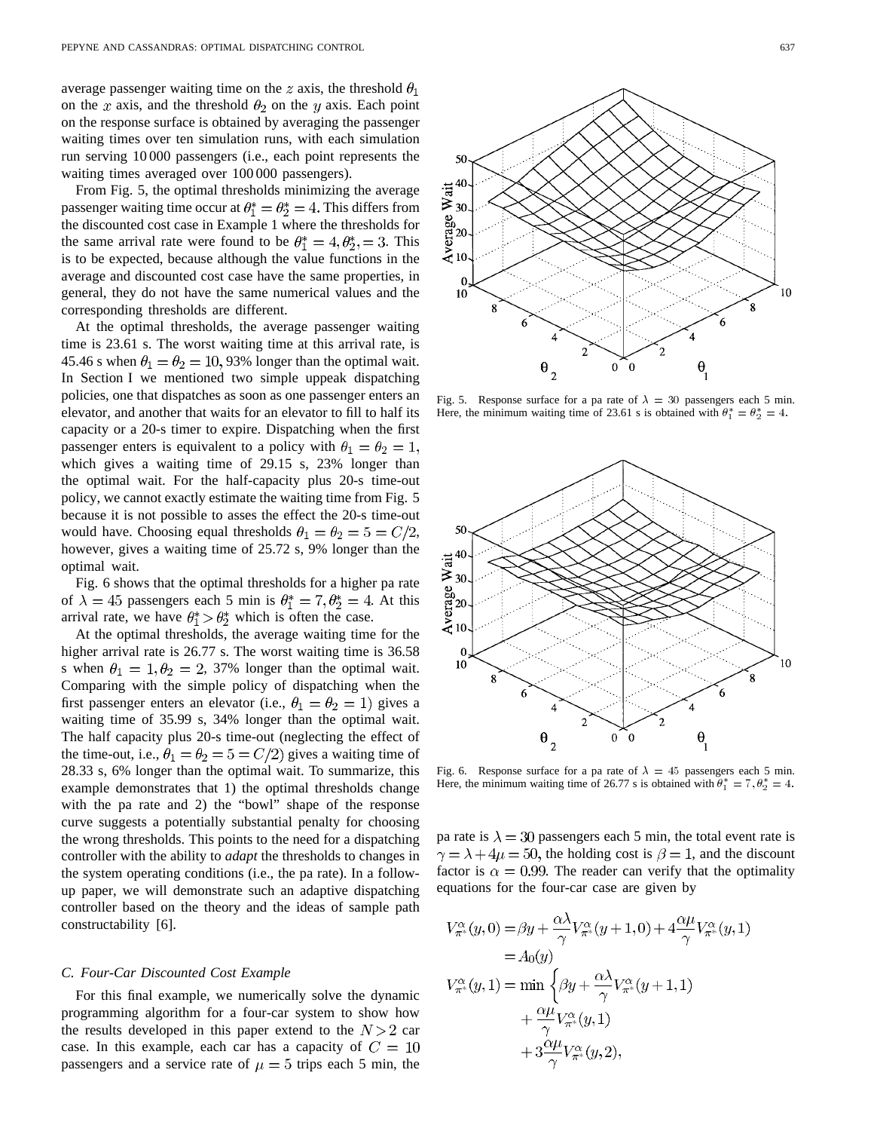average passenger waiting time on the z axis, the threshold  $\theta_1$ on the x axis, and the threshold  $\theta_2$  on the y axis. Each point on the response surface is obtained by averaging the passenger waiting times over ten simulation runs, with each simulation run serving 10 000 passengers (i.e., each point represents the waiting times averaged over 100 000 passengers).

From Fig. 5, the optimal thresholds minimizing the average passenger waiting time occur at  $\theta_1^* = \theta_2^* = 4$ . This differs from the discounted cost case in Example 1 where the thresholds for the same arrival rate were found to be  $\theta_1^* = 4, \theta_2^* = 3$ . This is to be expected, because although the value functions in the average and discounted cost case have the same properties, in general, they do not have the same numerical values and the corresponding thresholds are different.

At the optimal thresholds, the average passenger waiting time is 23.61 s. The worst waiting time at this arrival rate, is 45.46 s when  $\theta_1 = \theta_2 = 10,93\%$  longer than the optimal wait. In Section I we mentioned two simple uppeak dispatching policies, one that dispatches as soon as one passenger enters an elevator, and another that waits for an elevator to fill to half its capacity or a 20-s timer to expire. Dispatching when the first passenger enters is equivalent to a policy with  $\theta_1 = \theta_2 = 1$ , which gives a waiting time of 29.15 s, 23% longer than the optimal wait. For the half-capacity plus 20-s time-out policy, we cannot exactly estimate the waiting time from Fig. 5 because it is not possible to asses the effect the 20-s time-out would have. Choosing equal thresholds  $\theta_1 = \theta_2 = 5 = C/2$ , however, gives a waiting time of 25.72 s, 9% longer than the optimal wait.

Fig. 6 shows that the optimal thresholds for a higher pa rate of  $\lambda = 45$  passengers each 5 min is  $\theta_1^* = 7, \theta_2^* = 4$ . At this arrival rate, we have  $\theta_1^* > \theta_2^*$  which is often the case.

At the optimal thresholds, the average waiting time for the higher arrival rate is 26.77 s. The worst waiting time is 36.58 s when  $\theta_1 = 1, \theta_2 = 2, 37\%$  longer than the optimal wait. Comparing with the simple policy of dispatching when the first passenger enters an elevator (i.e.,  $\theta_1 = \theta_2 = 1$ ) gives a waiting time of 35.99 s, 34% longer than the optimal wait. The half capacity plus 20-s time-out (neglecting the effect of the time-out, i.e.,  $\theta_1 = \theta_2 = 5 = C/2$  gives a waiting time of 28.33 s, 6% longer than the optimal wait. To summarize, this example demonstrates that 1) the optimal thresholds change with the pa rate and 2) the "bowl" shape of the response curve suggests a potentially substantial penalty for choosing the wrong thresholds. This points to the need for a dispatching controller with the ability to *adapt* the thresholds to changes in the system operating conditions (i.e., the pa rate). In a followup paper, we will demonstrate such an adaptive dispatching controller based on the theory and the ideas of sample path constructability [6].

#### *C. Four-Car Discounted Cost Example*

For this final example, we numerically solve the dynamic programming algorithm for a four-car system to show how the results developed in this paper extend to the  $N > 2$  car case. In this example, each car has a capacity of  $C = 10$ passengers and a service rate of  $\mu = 5$  trips each 5 min, the



Fig. 5. Response surface for a pa rate of  $\lambda = 30$  passengers each 5 min. Here, the minimum waiting time of 23.61 s is obtained with  $\theta_1^* = \theta_2^* = 4$ .



Fig. 6. Response surface for a pa rate of  $\lambda = 45$  passengers each 5 min. Here, the minimum waiting time of 26.77 s is obtained with  $\theta_1^* = 7$ ,  $\theta_2^* = 4$ .

pa rate is  $\lambda = 30$  passengers each 5 min, the total event rate is  $\gamma = \lambda + 4\mu = 50$ , the holding cost is  $\beta = 1$ , and the discount factor is  $\alpha = 0.99$ . The reader can verify that the optimality equations for the four-car case are given by

$$
V_{\pi^*}^{\alpha}(y,0) = \beta y + \frac{\alpha \lambda}{\gamma} V_{\pi^*}^{\alpha}(y+1,0) + 4 \frac{\alpha \mu}{\gamma} V_{\pi^*}^{\alpha}(y,1)
$$
  
=  $A_0(y)$   

$$
V_{\pi^*}^{\alpha}(y,1) = \min \left\{ \beta y + \frac{\alpha \lambda}{\gamma} V_{\pi^*}^{\alpha}(y+1,1) + \frac{\alpha \mu}{\gamma} V_{\pi^*}^{\alpha}(y,1) + 3 \frac{\alpha \mu}{\gamma} V_{\pi^*}^{\alpha}(y,2), \right\}
$$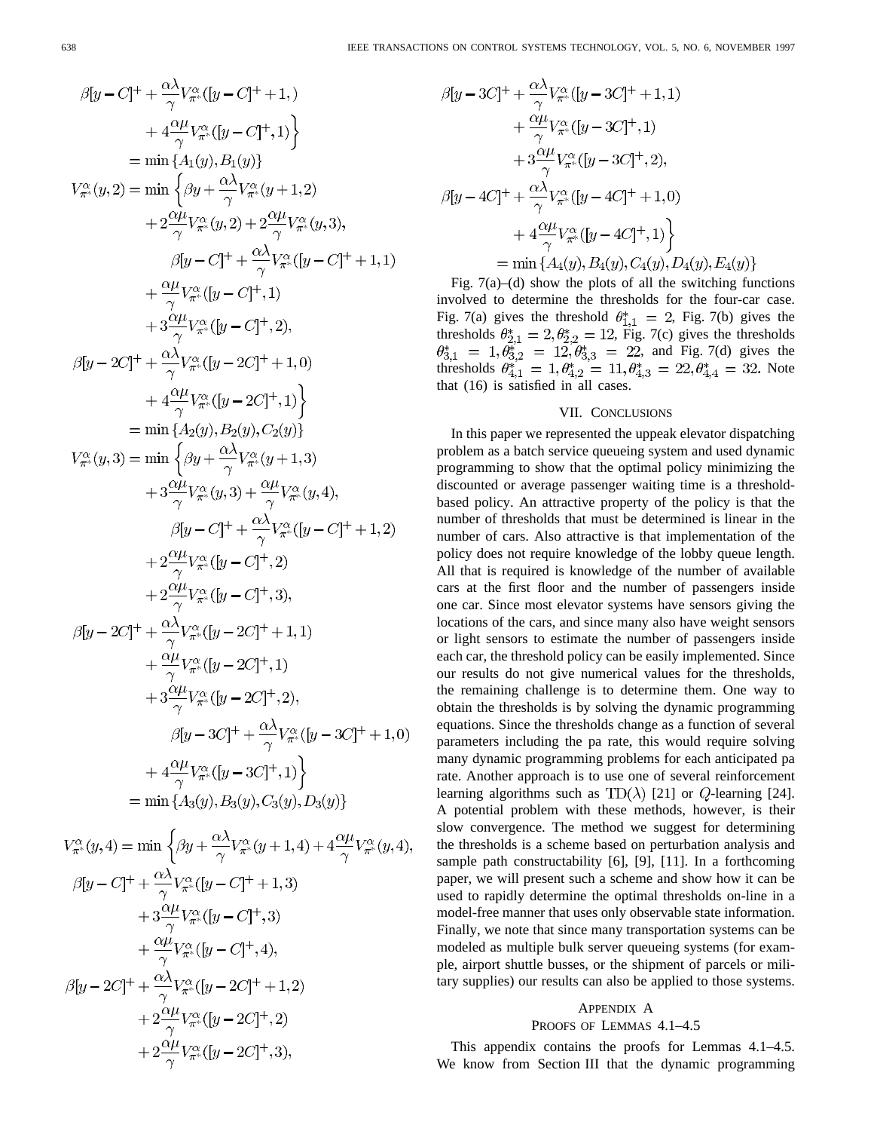$\sim$ 

$$
\beta[y - C]^{+} + \frac{\alpha \lambda}{\gamma} V_{\pi}^{\alpha} ([y - C]^{+} + 1, )
$$
\n
$$
+ 4 \frac{\alpha \mu}{\gamma} V_{\pi}^{\alpha} ([y - C]^{+} + 1, )
$$
\n
$$
= \min \{A_{1}(y), B_{1}(y)\}
$$
\n
$$
V_{\pi}^{\alpha} (y, 2) = \min \left\{\beta y + \frac{\alpha \lambda}{\gamma} V_{\pi}^{\alpha} (y + 1, 2)
$$
\n
$$
+ 2 \frac{\alpha \mu}{\gamma} V_{\pi}^{\alpha} (y, 2) + 2 \frac{\alpha \mu}{\gamma} V_{\pi}^{\alpha} (y, 3),
$$
\n
$$
\beta[y - C]^{+} + \frac{\alpha \lambda}{\gamma} V_{\pi}^{\alpha} ([y - C]^{+} + 1, 1)
$$
\n
$$
+ \frac{\alpha \mu}{\gamma} V_{\pi}^{\alpha} ([y - C]^{+}, 1)
$$
\n
$$
+ 3 \frac{\alpha \mu}{\gamma} V_{\pi}^{\alpha} ([y - C]^{+}, 1)
$$
\n
$$
+ 3 \frac{\alpha \mu}{\gamma} V_{\pi}^{\alpha} ([y - 2C]^{+} + 1, 0)
$$
\n
$$
+ 4 \frac{\alpha \mu}{\gamma} V_{\pi}^{\alpha} ([y - 2C]^{+}, 1) \}
$$
\n
$$
= \min \{A_{2}(y), B_{2}(y), C_{2}(y) \}
$$
\n
$$
V_{\pi}^{\alpha} (y, 3) = \min \left\{\beta y + \frac{\alpha \lambda}{\gamma} V_{\pi}^{\alpha} (y + 1, 3)
$$
\n
$$
+ 3 \frac{\alpha \mu}{\gamma} V_{\pi}^{\alpha} (y, 3) + \frac{\alpha \mu}{\gamma} V_{\pi}^{\alpha} (y, 4),
$$
\n
$$
\beta[y - C]^{+} + \frac{\alpha \lambda}{\gamma} V_{\pi}^{\alpha} (y, 4),
$$
\n
$$
\beta[y - C]^{+} + \frac{\alpha \lambda}{\gamma} V_{\pi}^{\alpha} (y - C]^{+}, 2)
$$
\n
$$
+ 2 \frac{\alpha \mu}{\gamma} V_{\pi}^{\alpha} ([y - C]^{
$$

 $\sim$   $\pm$   $\sim$   $\sim$ 

$$
\beta[y - 3C]^+ + \frac{\alpha \lambda}{\gamma} V_{\pi^*}^{\alpha} ([y - 3C]^+ + 1, 1) \n+ \frac{\alpha \mu}{\gamma} V_{\pi^*}^{\alpha} ([y - 3C]^+, 1) \n+ 3 \frac{\alpha \mu}{\gamma} V_{\pi^*}^{\alpha} ([y - 3C]^+, 2), \n\beta[y - 4C]^+ + \frac{\alpha \lambda}{\gamma} V_{\pi^*}^{\alpha} ([y - 4C]^+ + 1, 0) \n+ 4 \frac{\alpha \mu}{\gamma} V_{\pi^*}^{\alpha} ([y - 4C]^+, 1) \}\n= \min \{A_4(y), B_4(y), C_4(y), D_4(y), E_4(y)\}
$$

Fig.  $7(a)$ –(d) show the plots of all the switching functions involved to determine the thresholds for the four-car case. Fig. 7(a) gives the threshold  $\theta_{1,1}^* = 2$ , Fig. 7(b) gives the thresholds  $\theta_{2,1}^* = 2, \theta_{2,2}^* = 12$ , Fig. 7(c) gives the thresholds , and Fig. 7(d) gives the thresholds  $\theta_{4,1}^* = 1, \theta_{4,2}^* = 11, \theta_{4,3}^* = 22, \theta_{4,4}^* = 32$ . Note that (16) is satisfied in all cases.

### VII. CONCLUSIONS

In this paper we represented the uppeak elevator dispatching problem as a batch service queueing system and used dynamic programming to show that the optimal policy minimizing the discounted or average passenger waiting time is a thresholdbased policy. An attractive property of the policy is that the number of thresholds that must be determined is linear in the number of cars. Also attractive is that implementation of the policy does not require knowledge of the lobby queue length. All that is required is knowledge of the number of available cars at the first floor and the number of passengers inside one car. Since most elevator systems have sensors giving the locations of the cars, and since many also have weight sensors or light sensors to estimate the number of passengers inside each car, the threshold policy can be easily implemented. Since our results do not give numerical values for the thresholds, the remaining challenge is to determine them. One way to obtain the thresholds is by solving the dynamic programming equations. Since the thresholds change as a function of several parameters including the pa rate, this would require solving many dynamic programming problems for each anticipated pa rate. Another approach is to use one of several reinforcement learning algorithms such as  $TD(\lambda)$  [21] or  $Q$ -learning [24]. A potential problem with these methods, however, is their slow convergence. The method we suggest for determining the thresholds is a scheme based on perturbation analysis and sample path constructability [6], [9], [11]. In a forthcoming paper, we will present such a scheme and show how it can be used to rapidly determine the optimal thresholds on-line in a model-free manner that uses only observable state information. Finally, we note that since many transportation systems can be modeled as multiple bulk server queueing systems (for example, airport shuttle busses, or the shipment of parcels or military supplies) our results can also be applied to those systems.

#### APPENDIX A

#### PROOFS OF LEMMAS 4.1–4.5

This appendix contains the proofs for Lemmas 4.1–4.5. We know from Section III that the dynamic programming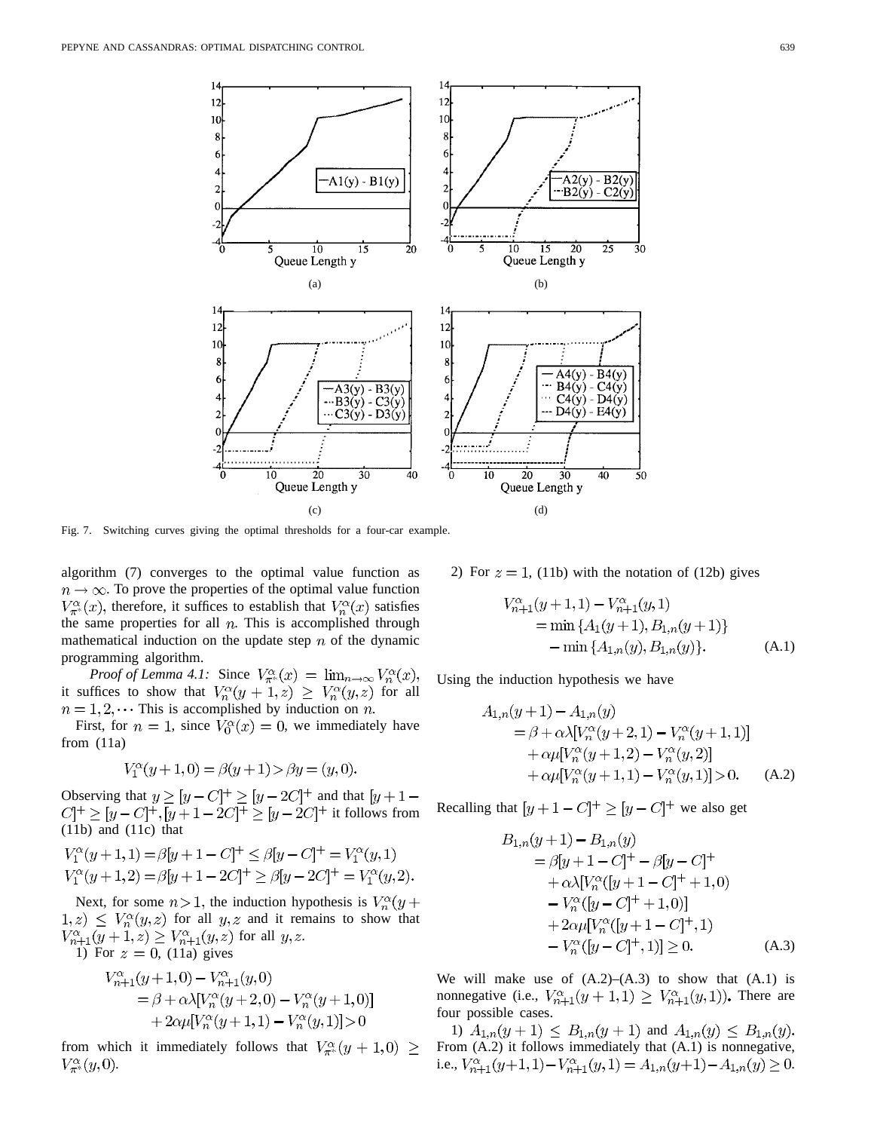

Fig. 7. Switching curves giving the optimal thresholds for a four-car example.

algorithm (7) converges to the optimal value function as  $n \to \infty$ . To prove the properties of the optimal value function  $V^{\alpha}_{\pi^*}(x)$ , therefore, it suffices to establish that  $V^{\alpha}_n(x)$  satisfies the same properties for all  $n$ . This is accomplished through mathematical induction on the update step  $n$  of the dynamic programming algorithm.

*Proof of Lemma 4.1:* Since  $V_{\pi^*}^{\alpha}(x) = \lim_{n \to \infty} V_n^{\alpha}(x)$ , it suffices to show that  $V_n^{\alpha}(y+1,z) \geq V_n^{\alpha}(y,z)$  for all  $n = 1, 2, \cdots$  This is accomplished by induction on n.

First, for  $n = 1$ , since  $V_0^{\alpha}(x) = 0$ , we immediately have from (11a)

$$
V_1^{\alpha}(y+1,0) = \beta(y+1) > \beta y = (y,0).
$$

Observing that  $y \geq [y - C]^+ \geq [y - 2C]^+$  and that it follows from (11b) and (11c) that

$$
V_1^{\alpha}(y+1,1) = \beta[y+1-C]^+ \le \beta[y-C]^+ = V_1^{\alpha}(y,1)
$$
  
\n
$$
V_1^{\alpha}(y+1,2) = \beta[y+1-2C]^+ \ge \beta[y-2C]^+ = V_1^{\alpha}(y,2).
$$

Next, for some  $n > 1$ , the induction hypothesis is  $V_n^{\alpha}(y +$  $f(x, z) \leq V_n^{\alpha}(y, z)$  for all  $y, z$  and it remains to show that  $V_{n+1}^{\alpha}(y+1,z) \geq V_{n+1}^{\alpha}(y,z)$  for all  $y, z$ .

1) For  $z = 0$ , (11a) gives

$$
V_{n+1}^{\alpha}(y+1,0) - V_{n+1}^{\alpha}(y,0)
$$
  
=  $\beta + \alpha \lambda [V_n^{\alpha}(y+2,0) - V_n^{\alpha}(y+1,0)]$   
+  $2\alpha \mu [V_n^{\alpha}(y+1,1) - V_n^{\alpha}(y,1)] > 0$ 

from which it immediately follows that  $V_{\pi^*}^{\alpha}(y+1,0) \geq$  $V^{\alpha}_{\pi^*}(y,0).$ 

2) For  $z = 1$ , (11b) with the notation of (12b) gives

$$
V_{n+1}^{\alpha}(y+1,1) - V_{n+1}^{\alpha}(y,1)
$$
  
= min { $A_1(y+1), B_{1,n}(y+1)$ }  
- min { $A_{1,n}(y), B_{1,n}(y)$ }. (A.1)

Using the induction hypothesis we have

$$
A_{1,n}(y+1) - A_{1,n}(y)
$$
  
=  $\beta + \alpha \lambda [V_n^{\alpha}(y+2,1) - V_n^{\alpha}(y+1,1)]$   
+  $\alpha \mu [V_n^{\alpha}(y+1,2) - V_n^{\alpha}(y,2)]$   
+  $\alpha \mu [V_n^{\alpha}(y+1,1) - V_n^{\alpha}(y,1)] > 0.$  (A.2)

Recalling that  $[y+1-C]^+ \geq [y-C]^+$  we also get

$$
B_{1,n}(y+1) - B_{1,n}(y)
$$
  
=  $\beta[y+1-C]^+ - \beta[y-C]^+$   
+  $\alpha\lambda[V_n^{\alpha}([y+1-C]^+ + 1,0)$   
-  $V_n^{\alpha}([y-C]^+ + 1,0)$ ]  
+  $2\alpha\mu[V_n^{\alpha}([y+1-C]^+,1)$   
-  $V_n^{\alpha}([y-C]^+,1)] \ge 0.$  (A.3)

We will make use of  $(A.2)$ – $(A.3)$  to show that  $(A.1)$  is nonnegative (i.e.,  $V_{n+1}^{\alpha}(y+1,1) \geq V_{n+1}^{\alpha}(y,1)$ ). There are four possible cases.

1)  $A_{1,n}(y+1) \leq B_{1,n}(y+1)$  and From (A.2) it follows immediately that (A.1) is nonnegative, i.e.,  $V_{n+1}^{\alpha}(y+1,1) - V_{n+1}^{\alpha}(y,1) = A_{1,n}(y+1) - A_{1,n}(y) \ge 0.$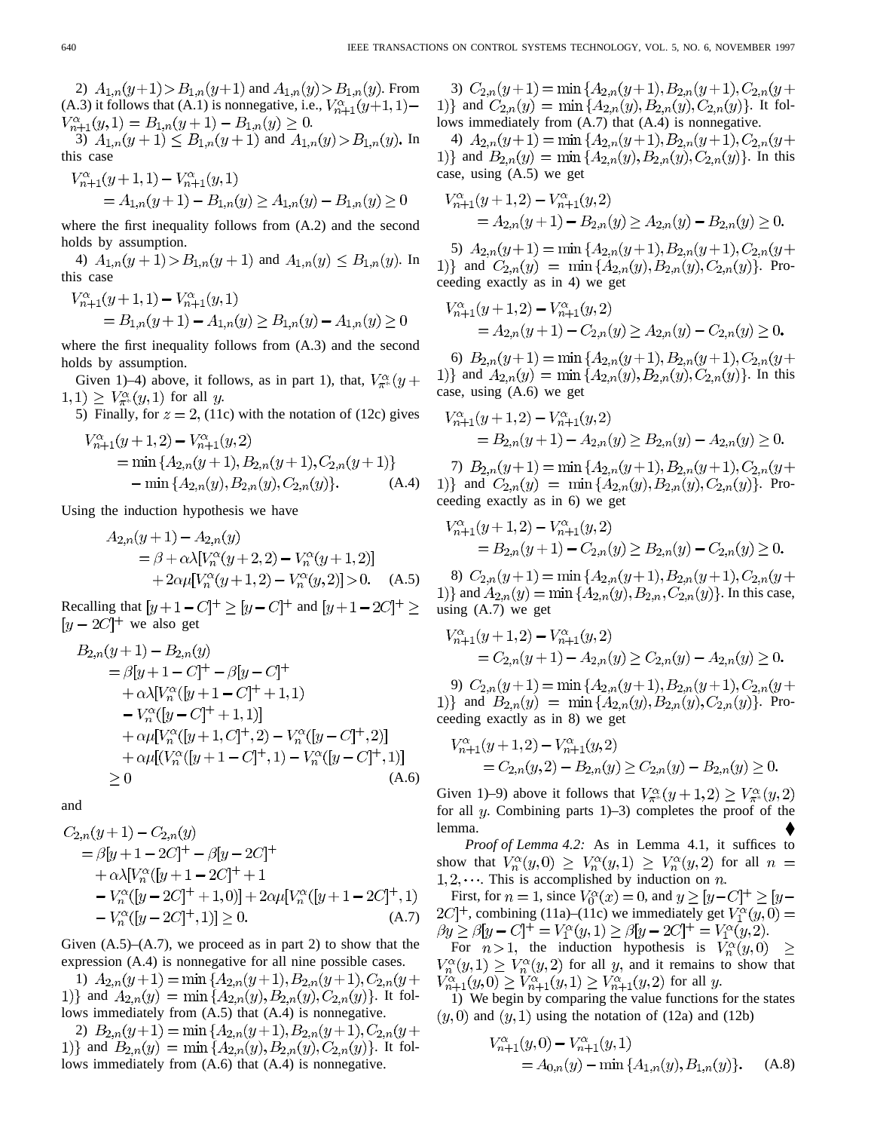2)  $A_{1,n}(y+1) > B_{1,n}(y+1)$  and  $A_{1,n}(y) > B_{1,n}(y)$ . From (A.3) it follows that (A.1) is nonnegative, i.e.,  $V_{n+1}^{\alpha}(y+1,1)$  –  $V_{n+1}^{\alpha}(y,1) = B_{1,n}(y+1) - B_{1,n}(y) \geq 0.$ 

3)  $A_{1,n}(y+1) \leq B_{1,n}(y+1)$  and  $A_{1,n}(y) > B_{1,n}(y)$ . In this case

$$
V_{n+1}^{\alpha}(y+1,1) - V_{n+1}^{\alpha}(y,1)
$$
  
=  $A_{1,n}(y+1) - B_{1,n}(y) \ge A_{1,n}(y) - B_{1,n}(y) \ge 0$ 

where the first inequality follows from (A.2) and the second holds by assumption.

4)  $A_{1,n}(y+1) > B_{1,n}(y+1)$  and  $A_{1,n}(y) \leq B_{1,n}(y)$ . In this case  $V_{n+1}^{\alpha}(y+1,1)-V_{n+1}^{\alpha}(y,1)$ 

$$
= B_{1,n}(y+1) - A_{1,n}(y) \ge B_{1,n}(y) - A_{1,n}(y) \ge 0
$$

where the first inequality follows from (A.3) and the second holds by assumption.

Given 1)–4) above, it follows, as in part 1), that,  $V_{\pi^*}^{\alpha}(y +$  $(1,1) \geq V_{\pi^*}^{\alpha}(y,1)$  for all y.

5) Finally, for  $z = 2$ , (11c) with the notation of (12c) gives  $(1 + 4 \alpha)$   $\overline{170}$   $(1 \alpha)$ 

$$
V_{n+1}^{a}(y+1,2) - V_{n+1}^{a}(y,2)
$$
  
= min { $A_{2,n}(y+1), B_{2,n}(y+1), C_{2,n}(y+1)$ }  
- min { $A_{2,n}(y), B_{2,n}(y), C_{2,n}(y)$ }. (A.4)

Using the induction hypothesis we have

$$
A_{2,n}(y+1) - A_{2,n}(y)
$$
  
=  $\beta + \alpha \lambda [V_n^{\alpha}(y+2, 2) - V_n^{\alpha}(y+1, 2)]$   
+  $2\alpha \mu [V_n^{\alpha}(y+1, 2) - V_n^{\alpha}(y, 2)] > 0.$  (A.5)

Recalling that  $[y+1-C]^+ \geq [y-C]^+$  and  $[y+1-2C]^+ \geq$  $[y - 2C]^+$  we also get

$$
B_{2,n}(y+1) - B_{2,n}(y)
$$
  
=  $\beta[y+1-C]^+ - \beta[y-C]^+$   
+  $\alpha\lambda[V_n^{\alpha}([y+1-C]^+ + 1,1)$   
-  $V_n^{\alpha}([y-C]^+ + 1,1)]$   
+  $\alpha\mu[V_n^{\alpha}([y+1,C]^+,2) - V_n^{\alpha}([y-C]^+,2)]$   
+  $\alpha\mu[(V_n^{\alpha}([y+1-C]^+,1) - V_n^{\alpha}([y-C]^+,1)]$   
\ge 0 (A.6)

and

$$
C_{2,n}(y+1) - C_{2,n}(y)
$$
  
=  $\beta[y+1-2C]^+ - \beta[y-2C]^+$   
+  $\alpha\lambda[V_n^{\alpha}([y+1-2C]^++1$   
-  $V_n^{\alpha}([y-2C]^++1,0)] + 2\alpha\mu[V_n^{\alpha}([y+1-2C]^+,1)]-  $V_n^{\alpha}([y-2C]^+,1)] \ge 0.$  (A.7)$ 

Given  $(A.5)$ – $(A.7)$ , we proceed as in part 2) to show that the expression (A.4) is nonnegative for all nine possible cases.

1)  $A_{2,n}(y+1) = \min\{A_{2,n}(y+1), B_{2,n}(y+1), C_{2,n}(y+1)\}$ 1)} and  $A_{2,n}(y) = \min\{A_{2,n}(y), B_{2,n}(y), C_{2,n}(y)\}\$ . It follows immediately from (A.5) that (A.4) is nonnegative.

2)  $B_{2,n}(y+1) = \min\{A_{2,n}(y+1), B_{2,n}(y+1), C_{2,n}(y+1)\}$ 1)} and  $B_{2,n}(y) = \min\{A_{2,n}(y), B_{2,n}(y), C_{2,n}(y)\}\$ . It follows immediately from (A.6) that (A.4) is nonnegative.

3)  $C_{2,n}(y+1) = \min\{A_{2,n}(y+1), B_{2,n}(y+1), C_{2,n}(y+1)\}$ 1)} and  $C_{2,n}(y) = \min\{A_{2,n}(y), B_{2,n}(y), C_{2,n}(y)\}\$ . It follows immediately from (A.7) that (A.4) is nonnegative.

4)  $A_{2,n}(y+1) = \min\{A_{2,n}(y+1), B_{2,n}(y+1), C_{2,n}(y+1)\}$ 1)} and  $B_{2,n}(y) = \min\{A_{2,n}(y), B_{2,n}(y), C_{2,n}(y)\}\$ . In this case, using (A.5) we get

$$
V_{n+1}^{\alpha}(y+1,2) - V_{n+1}^{\alpha}(y,2)
$$
  
=  $A_{2,n}(y+1) - B_{2,n}(y) \ge A_{2,n}(y) - B_{2,n}(y) \ge 0.$ 

5)  $A_{2,n}(y+1) = \min\{A_{2,n}(y+1), B_{2,n}(y+1), C_{2,n}(y+1)\}$ 1)} and  $C_{2,n}(y) = \min\{A_{2,n}(y), B_{2,n}(y), C_{2,n}(y)\}\$ . Proceeding exactly as in 4) we get

$$
V_{n+1}^{\alpha}(y+1,2) - V_{n+1}^{\alpha}(y,2)
$$
  
=  $A_{2,n}(y+1) - C_{2,n}(y) \ge A_{2,n}(y) - C_{2,n}(y) \ge 0.$ 

6)  $B_{2,n}(y+1) = \min\{A_{2,n}(y+1), B_{2,n}(y+1), C_{2,n}(y+1)\}$ 1)} and  $A_{2,n}(y) = \min\{A_{2,n}(y), B_{2,n}(y), C_{2,n}(y)\}\$ . In this case, using (A.6) we get

$$
V_{n+1}^{\alpha}(y+1,2) - V_{n+1}^{\alpha}(y,2)
$$
  
=  $B_{2,n}(y+1) - A_{2,n}(y) \ge B_{2,n}(y) - A_{2,n}(y) \ge 0.$ 

7)  $B_{2,n}(y+1) = \min\{A_{2,n}(y+1), B_{2,n}(y+1), C_{2,n}(y+1)\}$ 1)} and  $C_{2,n}(y) = \min\{A_{2,n}(y), B_{2,n}(y), C_{2,n}(y)\}.$  Proceeding exactly as in 6) we get

$$
V_{n+1}^{\alpha}(y+1,2) - V_{n+1}^{\alpha}(y,2)
$$
  
=  $B_{2,n}(y+1) - C_{2,n}(y) \ge B_{2,n}(y) - C_{2,n}(y) \ge 0.$ 

8)  $C_{2,n}(y+1) = \min\{A_{2,n}(y+1), B_{2,n}(y+1), C_{2,n}(y+1)\}$ 1)} and  $A_{2,n}(y) = \min\{A_{2,n}(y), B_{2,n}, C_{2,n}(y)\}\.$  In this case, using (A.7) we get

$$
V_{n+1}^{\alpha}(y+1,2) - V_{n+1}^{\alpha}(y,2)
$$
  
=  $C_{2,n}(y+1) - A_{2,n}(y) \ge C_{2,n}(y) - A_{2,n}(y) \ge 0.$ 

9)  $C_{2,n}(y+1) = \min\{A_{2,n}(y+1), B_{2,n}(y+1), C_{2,n}(y+1)\}$ 1)} and  $B_{2,n}(y) = \min\{A_{2,n}(y), B_{2,n}(y), C_{2,n}(y)\}\$ . Proceeding exactly as in 8) we get

 $\sim 10^7$ 

$$
V_{n+1}^{\alpha}(y+1,2) - V_{n+1}^{\alpha}(y,2)
$$
  
=  $C_{2,n}(y,2) - B_{2,n}(y) \ge C_{2,n}(y) - B_{2,n}(y) \ge 0.$ 

Given 1)–9) above it follows that  $V^{\alpha}_{\pi^*}(y+1,2) \geq V^{\alpha}_{\pi^*}(y,2)$ for all  $y$ . Combining parts 1)–3) completes the proof of the lemma.

*Proof of Lemma 4.2:* As in Lemma 4.1, it suffices to show that  $V_n^{\alpha}(y,0) \geq V_n^{\alpha}(y,1) \geq V_n^{\alpha}(y,2)$  for all  $n =$  $1, 2, \dots$  This is accomplished by induction on n.

First, for  $n = 1$ , since  $V_0^{\alpha}(x) = 0$ , and  $y \ge [y - C]^+ \ge [y - C]^+$  $2C$ <sup>+</sup>, combining (11a)–(11c) we immediately get  $V_1^{\alpha}(y,0)$  =  $\beta y \ge \beta [y - C]^+ = V_1^{\alpha}(y, 1) \ge \beta [y - 2C]^+ = V_1^{\alpha}(y, 2).$ 

For  $n > 1$ , the induction hypothesis is  $V_n^{\alpha}(y, 0)$  $\geq$  $V_n^{\alpha}(y,1) \geq V_n^{\alpha}(y,2)$  for all y, and it remains to show that  $V_{n+1}^{\alpha}(y,0) \geq V_{n+1}^{\alpha}(y,1) \geq V_{n+1}^{\alpha}(y,2)$  for all y.

1) We begin by comparing the value functions for the states  $(y, 0)$  and  $(y, 1)$  using the notation of (12a) and (12b)

$$
V_{n+1}^{\alpha}(y,0) - V_{n+1}^{\alpha}(y,1)
$$
  
=  $A_{0,n}(y) - \min\{A_{1,n}(y), B_{1,n}(y)\}$ . (A.8)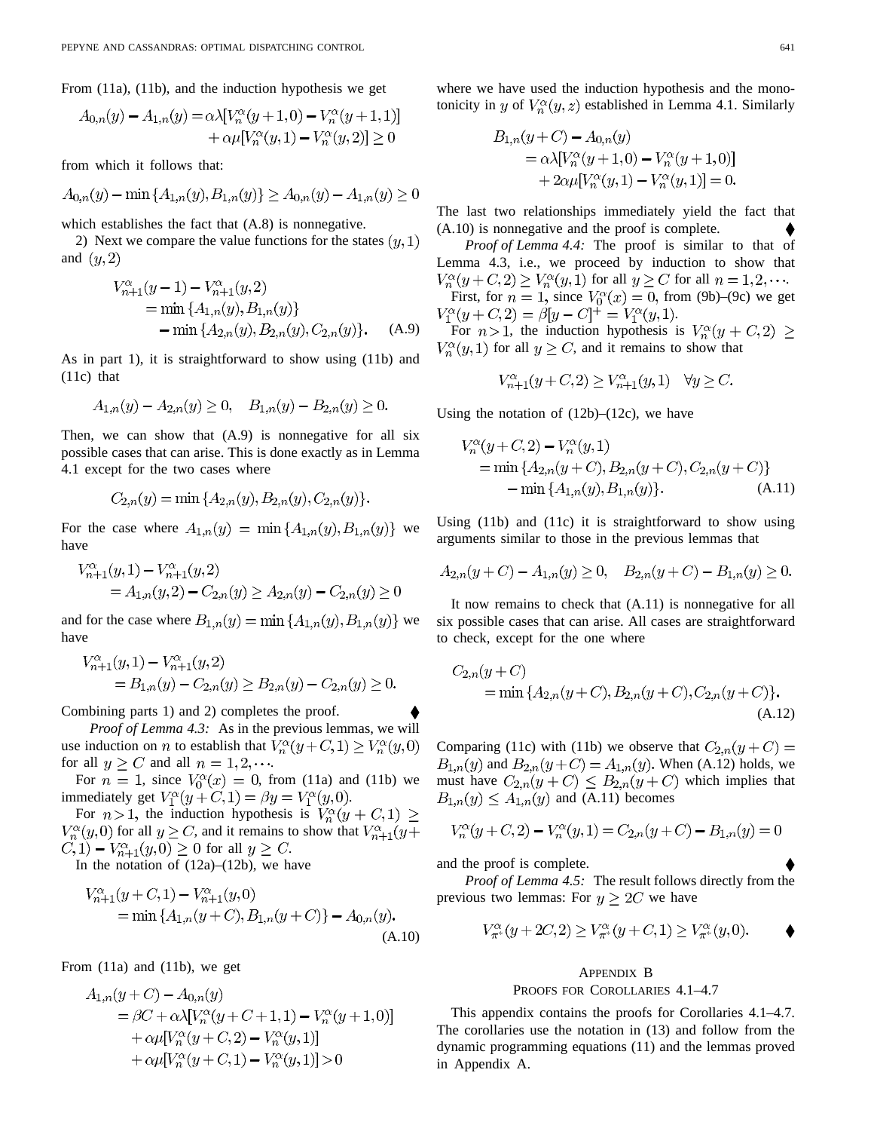From (11a), (11b), and the induction hypothesis we get

$$
A_{0,n}(y) - A_{1,n}(y) = \alpha \lambda [V_n^{\alpha}(y+1,0) - V_n^{\alpha}(y+1,1)]
$$
  
+  $\alpha \mu [V_n^{\alpha}(y,1) - V_n^{\alpha}(y,2)] \ge 0$ 

from which it follows that:

$$
A_{0,n}(y) - \min\{A_{1,n}(y), B_{1,n}(y)\} \ge A_{0,n}(y) - A_{1,n}(y) \ge 0
$$

which establishes the fact that (A.8) is nonnegative.

2) Next we compare the value functions for the states  $(y,1)$ and  $(y, 2)$ 

$$
V_{n+1}^{a}(y-1) - V_{n+1}^{a}(y, 2)
$$
  
= min { $A_{1,n}(y), B_{1,n}(y)$ }  
- min { $A_{2,n}(y), B_{2,n}(y), C_{2,n}(y)$ }. (A.9)

As in part 1), it is straightforward to show using (11b) and (11c) that

$$
A_{1,n}(y) - A_{2,n}(y) \ge 0, \quad B_{1,n}(y) - B_{2,n}(y) \ge 0.
$$

Then, we can show that  $(A.9)$  is nonnegative for all six possible cases that can arise. This is done exactly as in Lemma 4.1 except for the two cases where

$$
C_{2,n}(y) = \min\{A_{2,n}(y), B_{2,n}(y), C_{2,n}(y)\}.
$$

For the case where  $A_{1,n}(y) = \min\{A_{1,n}(y), B_{1,n}(y)\}\)$  we have

$$
V_{n+1}^{\alpha}(y,1) - V_{n+1}^{\alpha}(y,2)
$$
  
=  $A_{1,n}(y,2) - C_{2,n}(y) \ge A_{2,n}(y) - C_{2,n}(y) \ge 0$ 

and for the case where  $B_{1,n}(y) = \min\{A_{1,n}(y), B_{1,n}(y)\}\$  we have

$$
V_{n+1}^{\alpha}(y,1) - V_{n+1}^{\alpha}(y,2)
$$
  
=  $B_{1,n}(y) - C_{2,n}(y) \ge B_{2,n}(y) - C_{2,n}(y) \ge 0.$ 

Combining parts 1) and 2) completes the proof.

*Proof of Lemma 4.3:* As in the previous lemmas, we will use induction on *n* to establish that  $V_n^{\alpha}(y+C,1) \geq V_n^{\alpha}(y,0)$ for all  $y \ge C$  and all  $n = 1, 2, \cdots$ .

For  $n = 1$ , since  $V_0^{\alpha}(x) = 0$ , from (11a) and (11b) we immediately get  $V_1^{\alpha}(y+C,1) = \beta y = V_1^{\alpha}(y,0)$ .

For  $n>1$ , the induction hypothesis is  $V_n^{\alpha}(y+C,1) \geq$  $V_n^{\alpha}(y,0)$  for all  $y \ge C$ , and it remains to show that  $V_{n+1}^{\alpha}(y+)$  $C, 1) - V_{n+1}^{\alpha}(y, 0) \ge 0$  for all  $y \ge C$ .

In the notation of  $(12a)$ – $(12b)$ , we have

$$
V_{n+1}^{\alpha}(y+C,1) - V_{n+1}^{\alpha}(y,0)
$$
  
= min { $A_{1,n}(y+C)$ ,  $B_{1,n}(y+C)$ } -  $A_{0,n}(y)$ .  
(A.10)

From (11a) and (11b), we get

$$
A_{1,n}(y+C) - A_{0,n}(y)
$$
  
=  $\beta C + \alpha \lambda [V_n^{\alpha}(y+C+1,1) - V_n^{\alpha}(y+1,0)]$   
+  $\alpha \mu [V_n^{\alpha}(y+C,2) - V_n^{\alpha}(y,1)]$   
+  $\alpha \mu [V_n^{\alpha}(y+C,1) - V_n^{\alpha}(y,1)] > 0$ 

where we have used the induction hypothesis and the monotonicity in y of  $V_n^{\alpha}(y, z)$  established in Lemma 4.1. Similarly

$$
B_{1,n}(y+C) - A_{0,n}(y)
$$
  
=  $\alpha \lambda [V_n^{\alpha}(y+1,0) - V_n^{\alpha}(y+1,0)]$   
+  $2\alpha \mu [V_n^{\alpha}(y,1) - V_n^{\alpha}(y,1)] = 0.$ 

The last two relationships immediately yield the fact that (A.10) is nonnegative and the proof is complete.

*Proof of Lemma 4.4:* The proof is similar to that of Lemma 4.3, i.e., we proceed by induction to show that  $V_n^{\alpha}(y+C,2) \ge V_n^{\alpha}(y,1)$  for all  $y \ge C$  for all  $n=1,2,\cdots$ . First, for  $n = 1$ , since  $V_0^{\alpha}(x) = 0$ , from (9b)–(9c) we get  $V_1^{\alpha}(y+C,2) = \beta[y-C]^+ = V_1^{\alpha}(y,1).$ 

For  $n > 1$ , the induction hypothesis is  $V_n^{\alpha}(y + C, 2) \geq$  $V_n^{\alpha}(y,1)$  for all  $y \geq C$ , and it remains to show that

$$
V_{n+1}^{\alpha}(y+C,2) \ge V_{n+1}^{\alpha}(y,1) \quad \forall y \ge C.
$$

Using the notation of  $(12b)$ – $(12c)$ , we have

$$
V_n^{\alpha}(y+C,2) - V_n^{\alpha}(y,1)
$$
  
= min { $A_{2,n}(y+C)$ ,  $B_{2,n}(y+C)$ ,  $C_{2,n}(y+C)$ }  
- min { $A_{1,n}(y)$ ,  $B_{1,n}(y)$ }. (A.11)

Using (11b) and (11c) it is straightforward to show using arguments similar to those in the previous lemmas that

$$
A_{2,n}(y+C) - A_{1,n}(y) \ge 0, \quad B_{2,n}(y+C) - B_{1,n}(y) \ge 0.
$$

It now remains to check that (A.11) is nonnegative for all six possible cases that can arise. All cases are straightforward to check, except for the one where

$$
C_{2,n}(y+C)
$$
  
= min { $A_{2,n}(y+C)$ ,  $B_{2,n}(y+C)$ ,  $C_{2,n}(y+C)$ }.  
(A.12)

Comparing (11c) with (11b) we observe that  $C_{2,n}(y+C)$  =  $B_{1,n}(y)$  and  $B_{2,n}(y+C) = A_{1,n}(y)$ . When (A.12) holds, we must have  $C_{2,n}(y+C) \leq B_{2,n}(y+C)$  which implies that  $B_{1,n}(y) \leq A_{1,n}(y)$  and (A.11) becomes

$$
V_n^{\alpha}(y+C,2) - V_n^{\alpha}(y,1) = C_{2,n}(y+C) - B_{1,n}(y) = 0
$$

and the proof is complete.

*Proof of Lemma 4.5:* The result follows directly from the previous two lemmas: For  $y \geq 2C$  we have

$$
V_{\pi^*}^{\alpha}(y+2C,2) \ge V_{\pi^*}^{\alpha}(y+C,1) \ge V_{\pi^*}^{\alpha}(y,0).
$$

# APPENDIX B

# PROOFS FOR COROLLARIES 4.1–4.7

This appendix contains the proofs for Corollaries 4.1–4.7. The corollaries use the notation in (13) and follow from the dynamic programming equations (11) and the lemmas proved in Appendix A.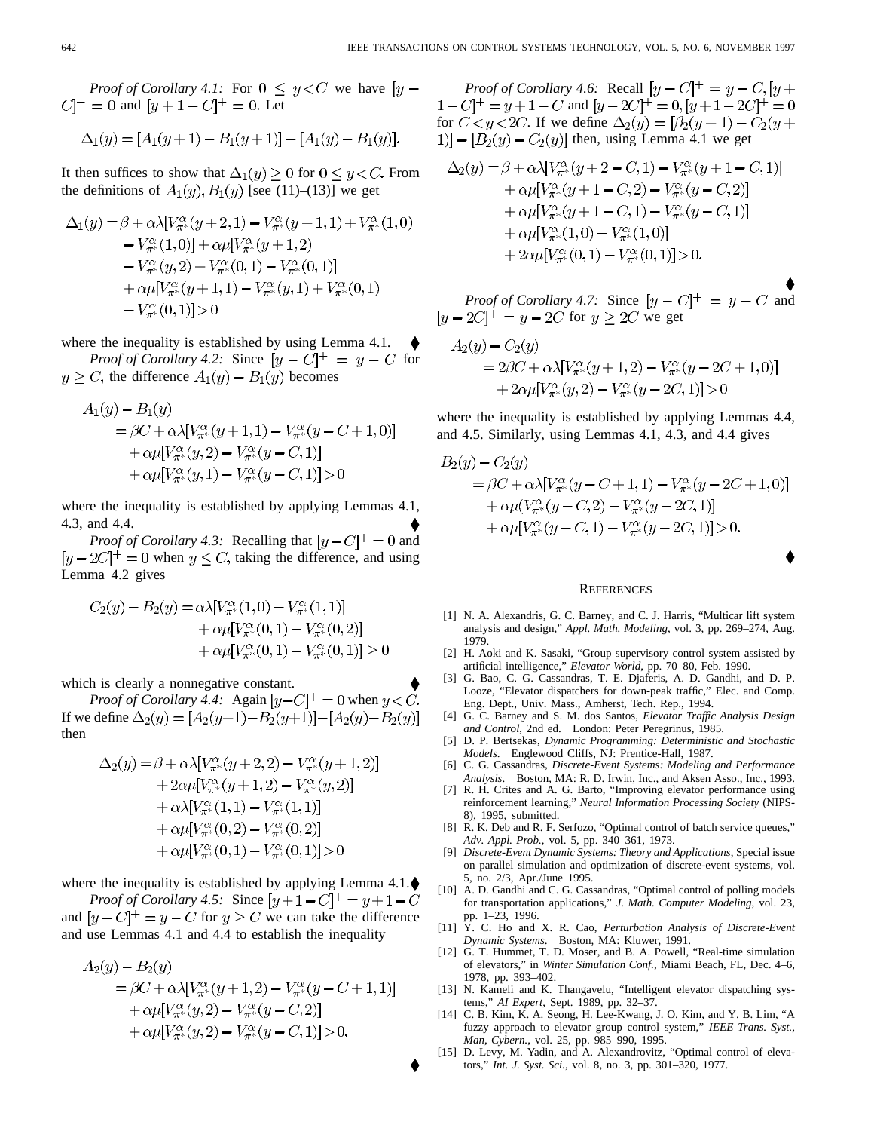*Proof of Corollary 4.1:* For  $0 \le y < C$  we have  $[y C$ <sup>+</sup> = 0 and  $[y+1-C]$ <sup>+</sup> = 0. Let

$$
\Delta_1(y) = [A_1(y+1) - B_1(y+1)] - [A_1(y) - B_1(y)].
$$

It then suffices to show that  $\Delta_1(y) \geq 0$  for  $0 \leq y \leq C$ . From the definitions of  $A_1(y), B_1(y)$  [see (11)–(13)] we get

$$
\Delta_1(y) = \beta + \alpha \lambda [V_{\pi^*}^{\alpha}(y+2,1) - V_{\pi^*}^{\alpha}(y+1,1) + V_{\pi^*}^{\alpha}(1,0) \n- V_{\pi^*}^{\alpha}(1,0)] + \alpha \mu [V_{\pi^*}^{\alpha}(y+1,2) \n- V_{\pi^*}^{\alpha}(y,2) + V_{\pi^*}^{\alpha}(0,1) - V_{\pi^*}^{\alpha}(0,1)] \n+ \alpha \mu [V_{\pi^*}^{\alpha}(y+1,1) - V_{\pi^*}^{\alpha}(y,1) + V_{\pi^*}^{\alpha}(0,1) \n- V_{\pi^*}^{\alpha}(0,1)] > 0
$$

where the inequality is established by using Lemma 4.1.

*Proof of Corollary 4.2:* Since  $[y - C]^+ = y - C$  for  $y \ge C$ , the difference  $A_1(y) - B_1(y)$  becomes

$$
A_1(y) - B_1(y)
$$
  
=  $\beta C + \alpha \lambda [V_{\pi^*}^{\alpha}(y+1,1) - V_{\pi^*}^{\alpha}(y-C+1,0)]$   
+  $\alpha \mu [V_{\pi^*}^{\alpha}(y,2) - V_{\pi^*}^{\alpha}(y-C,1)]$   
+  $\alpha \mu [V_{\pi^*}^{\alpha}(y,1) - V_{\pi^*}^{\alpha}(y-C,1)] > 0$ 

where the inequality is established by applying Lemmas 4.1, 4.3, and 4.4.

*Proof of Corollary 4.3:* Recalling that  $[y - C]^{+} = 0$  and  $[y - 2C]^+ = 0$  when  $y \leq C$ , taking the difference, and using Lemma 4.2 gives

$$
C_2(y) - B_2(y) = \alpha \lambda [V_{\pi^*}^{\alpha}(1,0) - V_{\pi^*}^{\alpha}(1,1)] + \alpha \mu [V_{\pi^*}^{\alpha}(0,1) - V_{\pi^*}^{\alpha}(0,2)] + \alpha \mu [V_{\pi^*}^{\alpha}(0,1) - V_{\pi^*}^{\alpha}(0,1)] \ge 0
$$

which is clearly a nonnegative constant.

*Proof of Corollary 4.4:* Again  $[y-C]^+=0$  when  $y < C$ . If we define  $\Delta_2(y) = [A_2(y+1) - B_2(y+1)] - [A_2(y) - B_2(y)]$ then

$$
\Delta_2(y) = \beta + \alpha \lambda [V_{\pi^*}^{\alpha}(y+2,2) - V_{\pi^*}^{\alpha}(y+1,2)] \n+ 2\alpha \mu [V_{\pi^*}^{\alpha}(y+1,2) - V_{\pi^*}^{\alpha}(y,2)] \n+ \alpha \lambda [V_{\pi^*}^{\alpha}(1,1) - V_{\pi^*}^{\alpha}(1,1)] \n+ \alpha \mu [V_{\pi^*}^{\alpha}(0,2) - V_{\pi^*}^{\alpha}(0,2)] \n+ \alpha \mu [V_{\pi^*}^{\alpha}(0,1) - V_{\pi^*}^{\alpha}(0,1)] > 0
$$

where the inequality is established by applying Lemma  $4.1$ . $\blacklozenge$ 

*Proof of Corollary 4.5:* Since  $[y+1-C]^+=y+1-C$ and  $[y - C]^+ = y - C$  for  $y \ge C$  we can take the difference and use Lemmas 4.1 and 4.4 to establish the inequality

$$
A_2(y) - B_2(y)
$$
  
=  $\beta C + \alpha \lambda [V_{\pi^*}^{\alpha}(y+1,2) - V_{\pi^*}^{\alpha}(y-C+1,1)]$   
+  $\alpha \mu [V_{\pi^*}^{\alpha}(y,2) - V_{\pi^*}^{\alpha}(y-C,2)]$   
+  $\alpha \mu [V_{\pi^*}^{\alpha}(y,2) - V_{\pi^*}^{\alpha}(y-C,1)] > 0.$ 

*Proof of Corollary 4.6:* Recall  $[y - C]^+ = y - C$ ,  $[y + C]^+ = (x - C)^+$  $1 - C$ ] + = y + 1 – C and  $[y - 2C]$  + = 0,  $[y + 1 - 2C]$  + = 0 for  $C < y < 2C$ . If we define  $\Delta_2(y) = [\beta_2(y+1) - C_2(y +$ 1)]  $-[B_2(y) - C_2(y)]$  then, using Lemma 4.1 we get

$$
\Delta_2(y) = \beta + \alpha \lambda [V_{\pi^*}^{\alpha}(y+2-C,1) - V_{\pi^*}^{\alpha}(y+1-C,1)] \n+ \alpha \mu [V_{\pi^*}^{\alpha}(y+1-C,2) - V_{\pi^*}^{\alpha}(y-C,2)] \n+ \alpha \mu [V_{\pi^*}^{\alpha}(y+1-C,1) - V_{\pi^*}^{\alpha}(y-C,1)] \n+ \alpha \mu [V_{\pi^*}^{\alpha}(1,0) - V_{\pi^*}^{\alpha}(1,0)] \n+ 2\alpha \mu [V_{\pi^*}^{\alpha}(0,1) - V_{\pi^*}^{\alpha}(0,1)] > 0.
$$

*Proof of Corollary 4.7:* Since  $[y - C]^+ = y - C$  and for  $y \geq 2C$  we get

$$
A_2(y) - C_2(y)
$$
  
= 2\beta C + \alpha \lambda [V\_{\pi^\*}^{\alpha}(y+1,2) - V\_{\pi^\*}^{\alpha}(y-2C+1,0)]  
+ 2\alpha \mu [V\_{\pi^\*}^{\alpha}(y,2) - V\_{\pi^\*}^{\alpha}(y-2C,1)] > 0

where the inequality is established by applying Lemmas 4.4, and 4.5. Similarly, using Lemmas 4.1, 4.3, and 4.4 gives

$$
B_2(y) - C_2(y)
$$
  
=  $\beta C + \alpha \lambda [V_{\pi^*}^{\alpha}(y - C + 1, 1) - V_{\pi^*}^{\alpha}(y - 2C + 1, 0)]$   
+  $\alpha \mu (V_{\pi^*}^{\alpha}(y - C, 2) - V_{\pi^*}^{\alpha}(y - 2C, 1)]$   
+  $\alpha \mu [V_{\pi^*}^{\alpha}(y - C, 1) - V_{\pi^*}^{\alpha}(y - 2C, 1)] > 0.$ 

#### **REFERENCES**

- [1] N. A. Alexandris, G. C. Barney, and C. J. Harris, "Multicar lift system analysis and design," *Appl. Math. Modeling*, vol. 3, pp. 269–274, Aug. 1979.
- [2] H. Aoki and K. Sasaki, "Group supervisory control system assisted by artificial intelligence," *Elevator World*, pp. 70–80, Feb. 1990.
- [3] G. Bao, C. G. Cassandras, T. E. Djaferis, A. D. Gandhi, and D. P. Looze, "Elevator dispatchers for down-peak traffic," Elec. and Comp. Eng. Dept., Univ. Mass., Amherst, Tech. Rep., 1994.
- [4] G. C. Barney and S. M. dos Santos, *Elevator Traffic Analysis Design and Control*, 2nd ed. London: Peter Peregrinus, 1985.
- [5] D. P. Bertsekas, *Dynamic Programming: Deterministic and Stochastic Models*. Englewood Cliffs, NJ: Prentice-Hall, 1987.
- [6] C. G. Cassandras, *Discrete-Event Systems: Modeling and Performance Analysis*. Boston, MA: R. D. Irwin, Inc., and Aksen Asso., Inc., 1993.
- [7] R. H. Crites and A. G. Barto, "Improving elevator performance using reinforcement learning," *Neural Information Processing Society* (NIPS-8), 1995, submitted.
- [8] R. K. Deb and R. F. Serfozo, "Optimal control of batch service queues," *Adv. Appl. Prob.*, vol. 5, pp. 340–361, 1973.
- [9] *Discrete-Event Dynamic Systems: Theory and Applications*, Special issue on parallel simulation and optimization of discrete-event systems, vol. 5, no. 2/3, Apr./June 1995.
- [10] A. D. Gandhi and C. G. Cassandras, "Optimal control of polling models for transportation applications," *J. Math. Computer Modeling*, vol. 23, pp. 1–23, 1996.
- [11] Y. C. Ho and X. R. Cao, *Perturbation Analysis of Discrete-Event Dynamic Systems*. Boston, MA: Kluwer, 1991.
- [12] G. T. Hummet, T. D. Moser, and B. A. Powell, "Real-time simulation of elevators," in *Winter Simulation Conf.*, Miami Beach, FL, Dec. 4–6, 1978, pp. 393–402.
- [13] N. Kameli and K. Thangavelu, "Intelligent elevator dispatching systems," *AI Expert*, Sept. 1989, pp. 32–37.
- [14] C. B. Kim, K. A. Seong, H. Lee-Kwang, J. O. Kim, and Y. B. Lim, "A fuzzy approach to elevator group control system," *IEEE Trans. Syst., Man, Cybern.*, vol. 25, pp. 985–990, 1995.
- [15] D. Levy, M. Yadin, and A. Alexandrovitz, "Optimal control of elevators," *Int. J. Syst. Sci.*, vol. 8, no. 3, pp. 301–320, 1977.